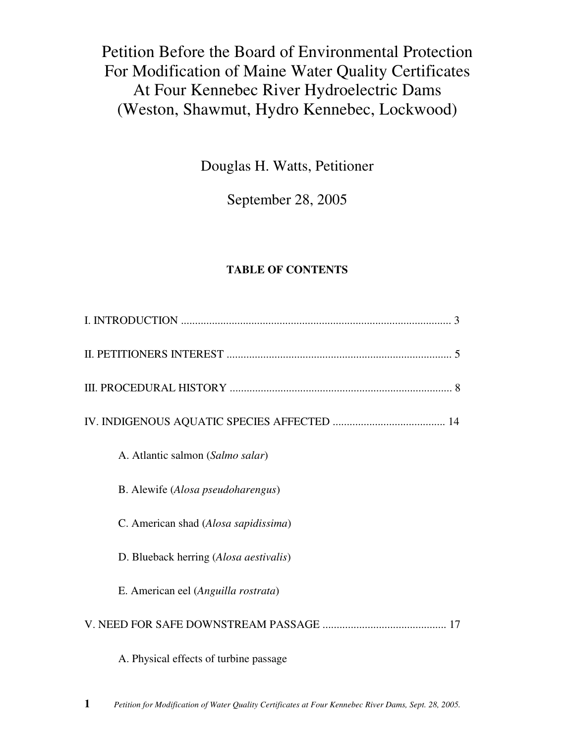Petition Before the Board of Environmental Protection For Modification of Maine Water Quality Certificates At Four Kennebec River Hydroelectric Dams (Weston, Shawmut, Hydro Kennebec, Lockwood)

Douglas H. Watts, Petitioner

September 28, 2005

# **TABLE OF CONTENTS**

| A. Atlantic salmon (Salmo salar)       |
|----------------------------------------|
| B. Alewife (Alosa pseudoharengus)      |
| C. American shad (Alosa sapidissima)   |
| D. Blueback herring (Alosa aestivalis) |
| E. American eel (Anguilla rostrata)    |
|                                        |
| A. Physical effects of turbine passage |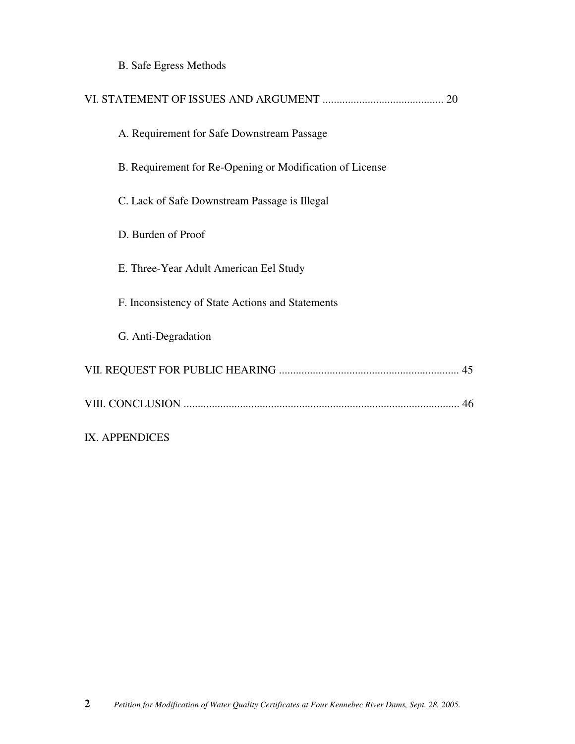B. Safe Egress Methods

| A. Requirement for Safe Downstream Passage               |
|----------------------------------------------------------|
| B. Requirement for Re-Opening or Modification of License |
| C. Lack of Safe Downstream Passage is Illegal            |
| D. Burden of Proof                                       |
| E. Three-Year Adult American Eel Study                   |
| F. Inconsistency of State Actions and Statements         |
| G. Anti-Degradation                                      |
|                                                          |
|                                                          |
| IX. APPENDICES                                           |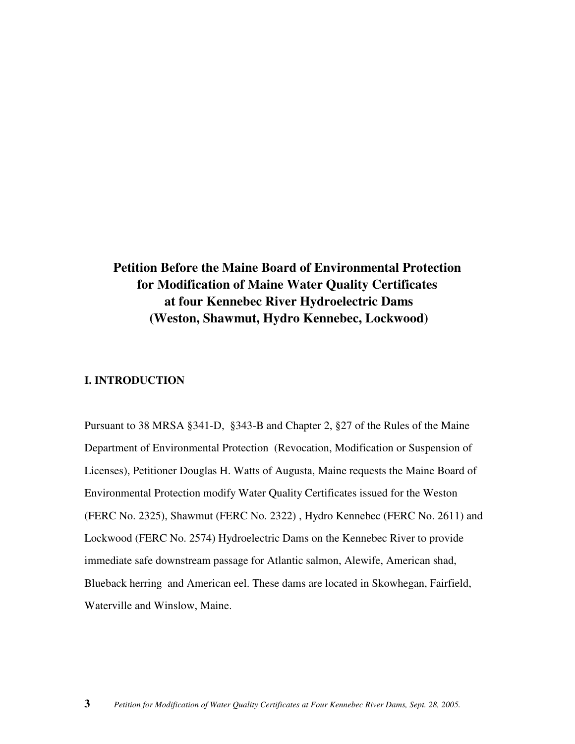# **Petition Before the Maine Board of Environmental Protection for Modification of Maine Water Quality Certificates at four Kennebec River Hydroelectric Dams (Weston, Shawmut, Hydro Kennebec, Lockwood)**

### **I. INTRODUCTION**

Pursuant to 38 MRSA §341-D, §343-B and Chapter 2, §27 of the Rules of the Maine Department of Environmental Protection (Revocation, Modification or Suspension of Licenses), Petitioner Douglas H. Watts of Augusta, Maine requests the Maine Board of Environmental Protection modify Water Quality Certificates issued for the Weston (FERC No. 2325), Shawmut (FERC No. 2322) , Hydro Kennebec (FERC No. 2611) and Lockwood (FERC No. 2574) Hydroelectric Dams on the Kennebec River to provide immediate safe downstream passage for Atlantic salmon, Alewife, American shad, Blueback herring and American eel. These dams are located in Skowhegan, Fairfield, Waterville and Winslow, Maine.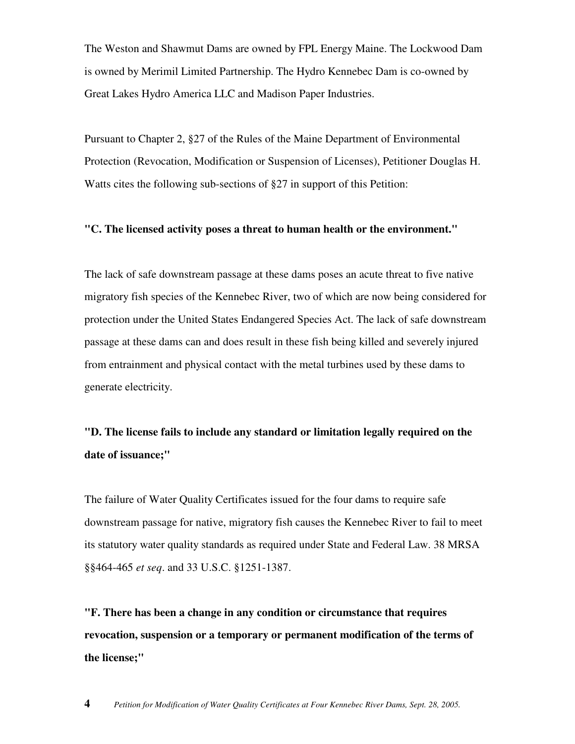The Weston and Shawmut Dams are owned by FPL Energy Maine. The Lockwood Dam is owned by Merimil Limited Partnership. The Hydro Kennebec Dam is co-owned by Great Lakes Hydro America LLC and Madison Paper Industries.

Pursuant to Chapter 2, §27 of the Rules of the Maine Department of Environmental Protection (Revocation, Modification or Suspension of Licenses), Petitioner Douglas H. Watts cites the following sub-sections of §27 in support of this Petition:

#### **"C. The licensed activity poses a threat to human health or the environment."**

The lack of safe downstream passage at these dams poses an acute threat to five native migratory fish species of the Kennebec River, two of which are now being considered for protection under the United States Endangered Species Act. The lack of safe downstream passage at these dams can and does result in these fish being killed and severely injured from entrainment and physical contact with the metal turbines used by these dams to generate electricity.

# **"D. The license fails to include any standard or limitation legally required on the date of issuance;"**

The failure of Water Quality Certificates issued for the four dams to require safe downstream passage for native, migratory fish causes the Kennebec River to fail to meet its statutory water quality standards as required under State and Federal Law. 38 MRSA §§464-465 *et seq*. and 33 U.S.C. §1251-1387.

**"F. There has been a change in any condition or circumstance that requires revocation, suspension or a temporary or permanent modification of the terms of the license;"**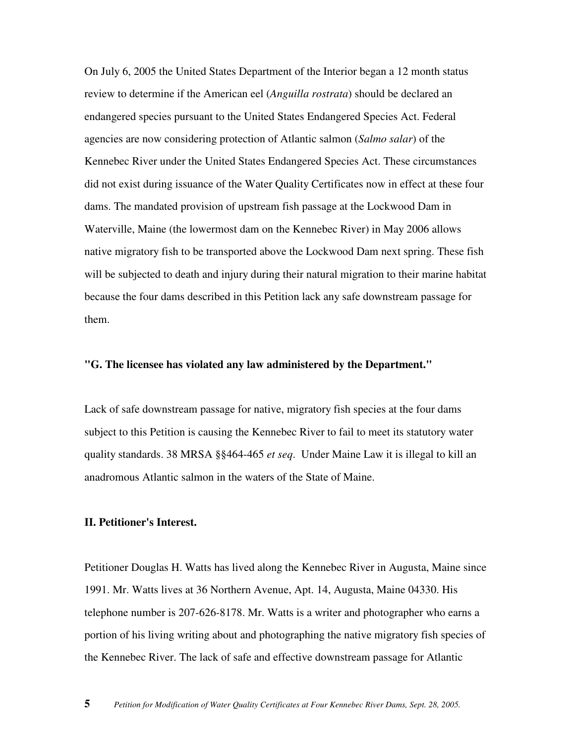On July 6, 2005 the United States Department of the Interior began a 12 month status review to determine if the American eel (*Anguilla rostrata*) should be declared an endangered species pursuant to the United States Endangered Species Act. Federal agencies are now considering protection of Atlantic salmon (*Salmo salar*) of the Kennebec River under the United States Endangered Species Act. These circumstances did not exist during issuance of the Water Quality Certificates now in effect at these four dams. The mandated provision of upstream fish passage at the Lockwood Dam in Waterville, Maine (the lowermost dam on the Kennebec River) in May 2006 allows native migratory fish to be transported above the Lockwood Dam next spring. These fish will be subjected to death and injury during their natural migration to their marine habitat because the four dams described in this Petition lack any safe downstream passage for them.

#### **"G. The licensee has violated any law administered by the Department."**

Lack of safe downstream passage for native, migratory fish species at the four dams subject to this Petition is causing the Kennebec River to fail to meet its statutory water quality standards. 38 MRSA §§464-465 *et seq*. Under Maine Law it is illegal to kill an anadromous Atlantic salmon in the waters of the State of Maine.

# **II. Petitioner's Interest.**

Petitioner Douglas H. Watts has lived along the Kennebec River in Augusta, Maine since 1991. Mr. Watts lives at 36 Northern Avenue, Apt. 14, Augusta, Maine 04330. His telephone number is 207-626-8178. Mr. Watts is a writer and photographer who earns a portion of his living writing about and photographing the native migratory fish species of the Kennebec River. The lack of safe and effective downstream passage for Atlantic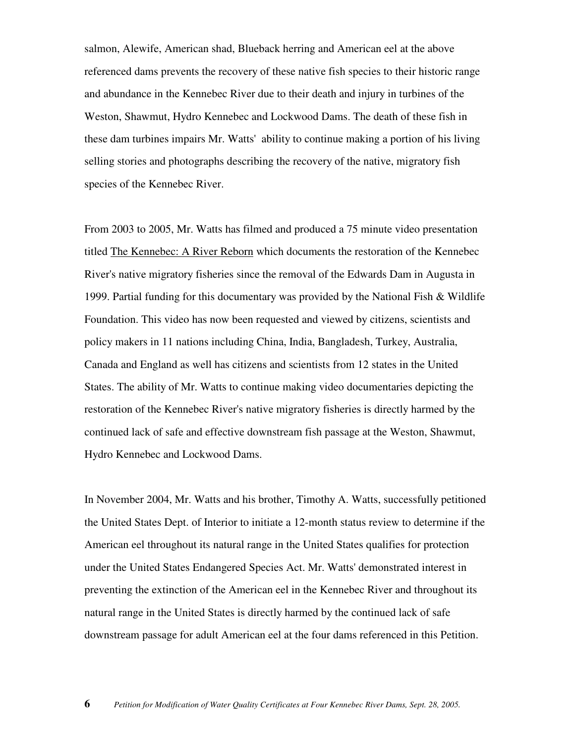salmon, Alewife, American shad, Blueback herring and American eel at the above referenced dams prevents the recovery of these native fish species to their historic range and abundance in the Kennebec River due to their death and injury in turbines of the Weston, Shawmut, Hydro Kennebec and Lockwood Dams. The death of these fish in these dam turbines impairs Mr. Watts' ability to continue making a portion of his living selling stories and photographs describing the recovery of the native, migratory fish species of the Kennebec River.

From 2003 to 2005, Mr. Watts has filmed and produced a 75 minute video presentation titled The Kennebec: A River Reborn which documents the restoration of the Kennebec River's native migratory fisheries since the removal of the Edwards Dam in Augusta in 1999. Partial funding for this documentary was provided by the National Fish & Wildlife Foundation. This video has now been requested and viewed by citizens, scientists and policy makers in 11 nations including China, India, Bangladesh, Turkey, Australia, Canada and England as well has citizens and scientists from 12 states in the United States. The ability of Mr. Watts to continue making video documentaries depicting the restoration of the Kennebec River's native migratory fisheries is directly harmed by the continued lack of safe and effective downstream fish passage at the Weston, Shawmut, Hydro Kennebec and Lockwood Dams.

In November 2004, Mr. Watts and his brother, Timothy A. Watts, successfully petitioned the United States Dept. of Interior to initiate a 12-month status review to determine if the American eel throughout its natural range in the United States qualifies for protection under the United States Endangered Species Act. Mr. Watts' demonstrated interest in preventing the extinction of the American eel in the Kennebec River and throughout its natural range in the United States is directly harmed by the continued lack of safe downstream passage for adult American eel at the four dams referenced in this Petition.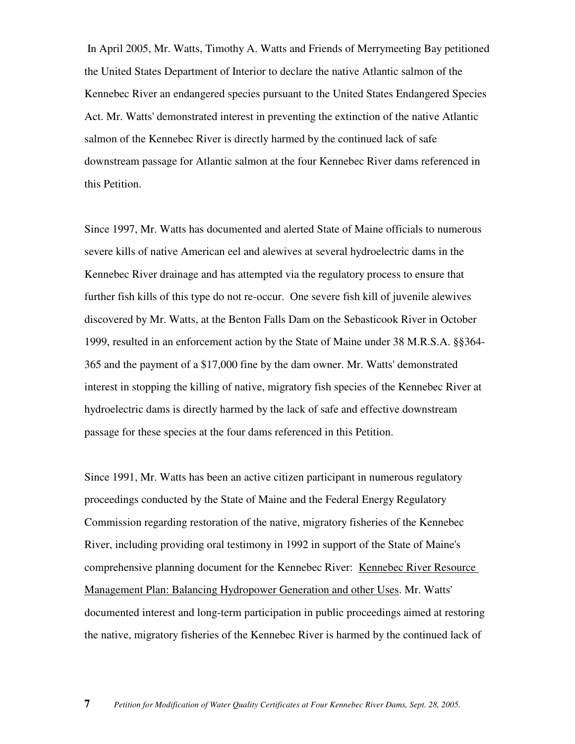In April 2005, Mr. Watts, Timothy A. Watts and Friends of Merrymeeting Bay petitioned the United States Department of Interior to declare the native Atlantic salmon of the Kennebec River an endangered species pursuant to the United States Endangered Species Act. Mr. Watts' demonstrated interest in preventing the extinction of the native Atlantic salmon of the Kennebec River is directly harmed by the continued lack of safe downstream passage for Atlantic salmon at the four Kennebec River dams referenced in this Petition.

Since 1997, Mr. Watts has documented and alerted State of Maine officials to numerous severe kills of native American eel and alewives at several hydroelectric dams in the Kennebec River drainage and has attempted via the regulatory process to ensure that further fish kills of this type do not re-occur. One severe fish kill of juvenile alewives discovered by Mr. Watts, at the Benton Falls Dam on the Sebasticook River in October 1999, resulted in an enforcement action by the State of Maine under 38 M.R.S.A. §§364- 365 and the payment of a \$17,000 fine by the dam owner. Mr. Watts' demonstrated interest in stopping the killing of native, migratory fish species of the Kennebec River at hydroelectric dams is directly harmed by the lack of safe and effective downstream passage for these species at the four dams referenced in this Petition.

Since 1991, Mr. Watts has been an active citizen participant in numerous regulatory proceedings conducted by the State of Maine and the Federal Energy Regulatory Commission regarding restoration of the native, migratory fisheries of the Kennebec River, including providing oral testimony in 1992 in support of the State of Maine's comprehensive planning document for the Kennebec River: Kennebec River Resource Management Plan: Balancing Hydropower Generation and other Uses. Mr. Watts' documented interest and long-term participation in public proceedings aimed at restoring the native, migratory fisheries of the Kennebec River is harmed by the continued lack of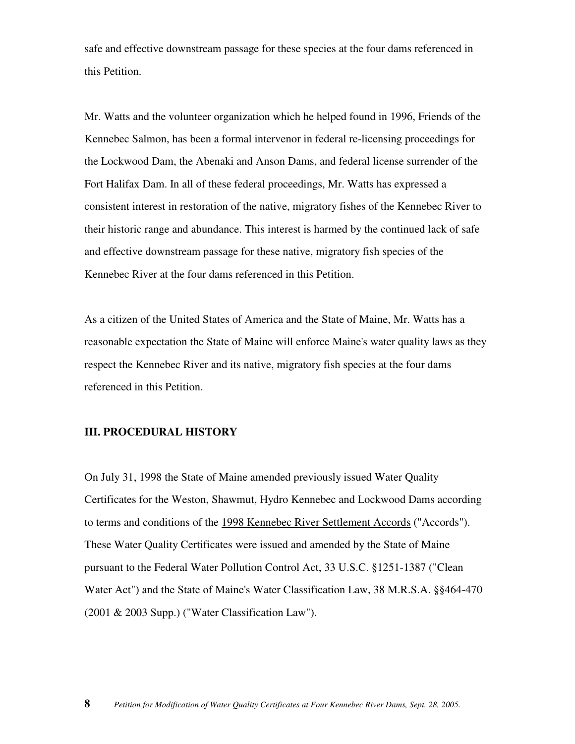safe and effective downstream passage for these species at the four dams referenced in this Petition.

Mr. Watts and the volunteer organization which he helped found in 1996, Friends of the Kennebec Salmon, has been a formal intervenor in federal re-licensing proceedings for the Lockwood Dam, the Abenaki and Anson Dams, and federal license surrender of the Fort Halifax Dam. In all of these federal proceedings, Mr. Watts has expressed a consistent interest in restoration of the native, migratory fishes of the Kennebec River to their historic range and abundance. This interest is harmed by the continued lack of safe and effective downstream passage for these native, migratory fish species of the Kennebec River at the four dams referenced in this Petition.

As a citizen of the United States of America and the State of Maine, Mr. Watts has a reasonable expectation the State of Maine will enforce Maine's water quality laws as they respect the Kennebec River and its native, migratory fish species at the four dams referenced in this Petition.

# **III. PROCEDURAL HISTORY**

On July 31, 1998 the State of Maine amended previously issued Water Quality Certificates for the Weston, Shawmut, Hydro Kennebec and Lockwood Dams according to terms and conditions of the 1998 Kennebec River Settlement Accords ("Accords"). These Water Quality Certificates were issued and amended by the State of Maine pursuant to the Federal Water Pollution Control Act, 33 U.S.C. §1251-1387 ("Clean Water Act") and the State of Maine's Water Classification Law, 38 M.R.S.A. §§464-470 (2001 & 2003 Supp.) ("Water Classification Law").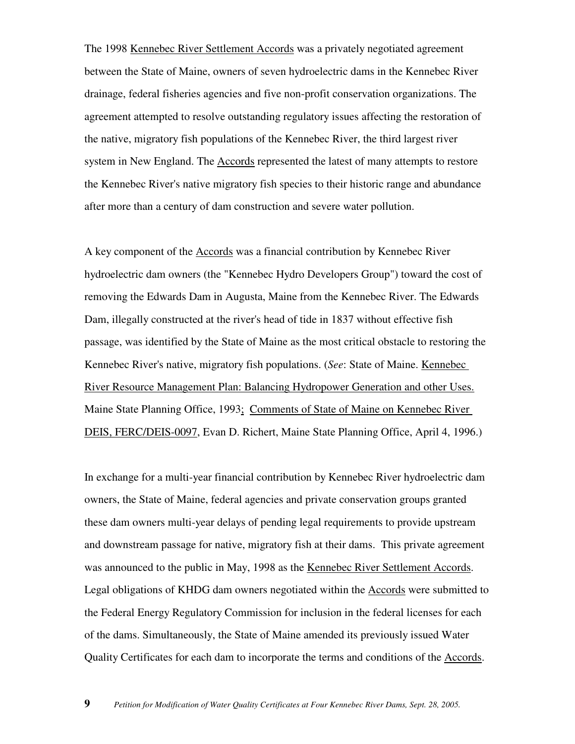The 1998 Kennebec River Settlement Accords was a privately negotiated agreement between the State of Maine, owners of seven hydroelectric dams in the Kennebec River drainage, federal fisheries agencies and five non-profit conservation organizations. The agreement attempted to resolve outstanding regulatory issues affecting the restoration of the native, migratory fish populations of the Kennebec River, the third largest river system in New England. The Accords represented the latest of many attempts to restore the Kennebec River's native migratory fish species to their historic range and abundance after more than a century of dam construction and severe water pollution.

A key component of the Accords was a financial contribution by Kennebec River hydroelectric dam owners (the "Kennebec Hydro Developers Group") toward the cost of removing the Edwards Dam in Augusta, Maine from the Kennebec River. The Edwards Dam, illegally constructed at the river's head of tide in 1837 without effective fish passage, was identified by the State of Maine as the most critical obstacle to restoring the Kennebec River's native, migratory fish populations. (*See*: State of Maine. Kennebec River Resource Management Plan: Balancing Hydropower Generation and other Uses. Maine State Planning Office, 1993; Comments of State of Maine on Kennebec River DEIS, FERC/DEIS-0097, Evan D. Richert, Maine State Planning Office, April 4, 1996.)

In exchange for a multi-year financial contribution by Kennebec River hydroelectric dam owners, the State of Maine, federal agencies and private conservation groups granted these dam owners multi-year delays of pending legal requirements to provide upstream and downstream passage for native, migratory fish at their dams. This private agreement was announced to the public in May, 1998 as the Kennebec River Settlement Accords. Legal obligations of KHDG dam owners negotiated within the Accords were submitted to the Federal Energy Regulatory Commission for inclusion in the federal licenses for each of the dams. Simultaneously, the State of Maine amended its previously issued Water Quality Certificates for each dam to incorporate the terms and conditions of the Accords.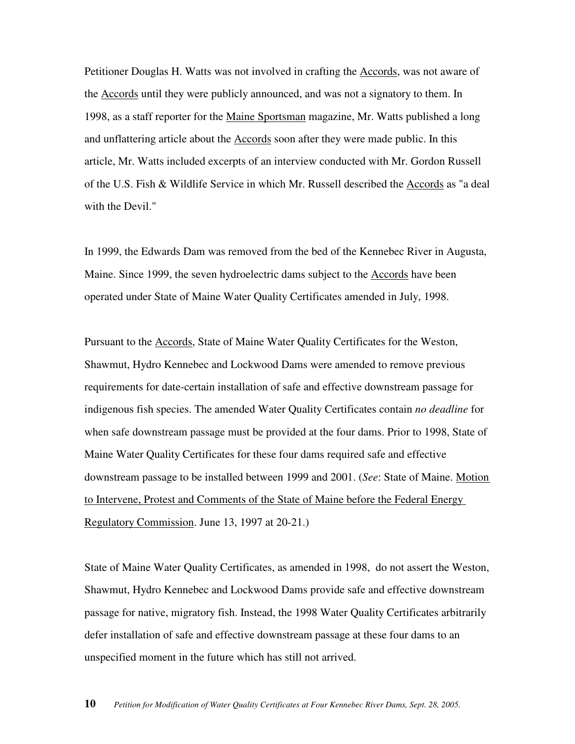Petitioner Douglas H. Watts was not involved in crafting the Accords, was not aware of the Accords until they were publicly announced, and was not a signatory to them. In 1998, as a staff reporter for the Maine Sportsman magazine, Mr. Watts published a long and unflattering article about the Accords soon after they were made public. In this article, Mr. Watts included excerpts of an interview conducted with Mr. Gordon Russell of the U.S. Fish & Wildlife Service in which Mr. Russell described the Accords as "a deal with the Devil."

In 1999, the Edwards Dam was removed from the bed of the Kennebec River in Augusta, Maine. Since 1999, the seven hydroelectric dams subject to the Accords have been operated under State of Maine Water Quality Certificates amended in July, 1998.

Pursuant to the Accords, State of Maine Water Quality Certificates for the Weston, Shawmut, Hydro Kennebec and Lockwood Dams were amended to remove previous requirements for date-certain installation of safe and effective downstream passage for indigenous fish species. The amended Water Quality Certificates contain *no deadline* for when safe downstream passage must be provided at the four dams. Prior to 1998, State of Maine Water Quality Certificates for these four dams required safe and effective downstream passage to be installed between 1999 and 2001. (*See*: State of Maine. Motion to Intervene, Protest and Comments of the State of Maine before the Federal Energy Regulatory Commission. June 13, 1997 at 20-21.)

State of Maine Water Quality Certificates, as amended in 1998, do not assert the Weston, Shawmut, Hydro Kennebec and Lockwood Dams provide safe and effective downstream passage for native, migratory fish. Instead, the 1998 Water Quality Certificates arbitrarily defer installation of safe and effective downstream passage at these four dams to an unspecified moment in the future which has still not arrived.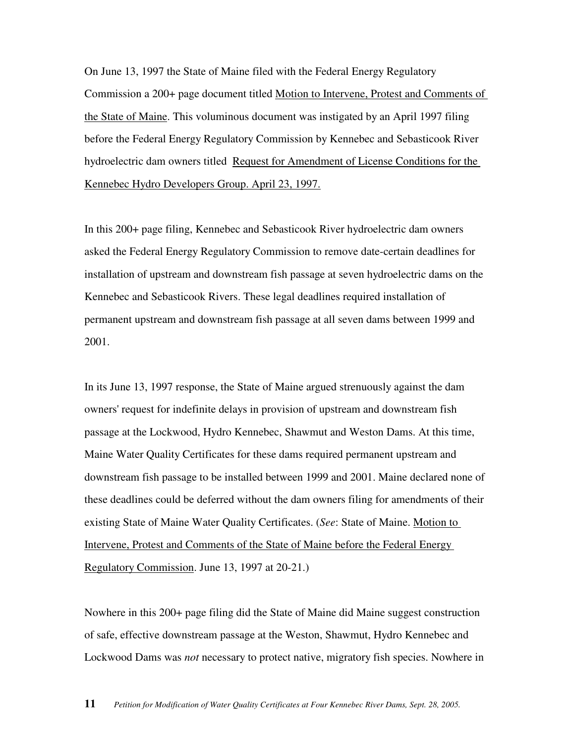On June 13, 1997 the State of Maine filed with the Federal Energy Regulatory Commission a 200+ page document titled Motion to Intervene, Protest and Comments of the State of Maine. This voluminous document was instigated by an April 1997 filing before the Federal Energy Regulatory Commission by Kennebec and Sebasticook River hydroelectric dam owners titled Request for Amendment of License Conditions for the Kennebec Hydro Developers Group. April 23, 1997.

In this 200+ page filing, Kennebec and Sebasticook River hydroelectric dam owners asked the Federal Energy Regulatory Commission to remove date-certain deadlines for installation of upstream and downstream fish passage at seven hydroelectric dams on the Kennebec and Sebasticook Rivers. These legal deadlines required installation of permanent upstream and downstream fish passage at all seven dams between 1999 and 2001.

In its June 13, 1997 response, the State of Maine argued strenuously against the dam owners' request for indefinite delays in provision of upstream and downstream fish passage at the Lockwood, Hydro Kennebec, Shawmut and Weston Dams. At this time, Maine Water Quality Certificates for these dams required permanent upstream and downstream fish passage to be installed between 1999 and 2001. Maine declared none of these deadlines could be deferred without the dam owners filing for amendments of their existing State of Maine Water Quality Certificates. (*See*: State of Maine. Motion to Intervene, Protest and Comments of the State of Maine before the Federal Energy Regulatory Commission. June 13, 1997 at 20-21.)

Nowhere in this 200+ page filing did the State of Maine did Maine suggest construction of safe, effective downstream passage at the Weston, Shawmut, Hydro Kennebec and Lockwood Dams was *not* necessary to protect native, migratory fish species. Nowhere in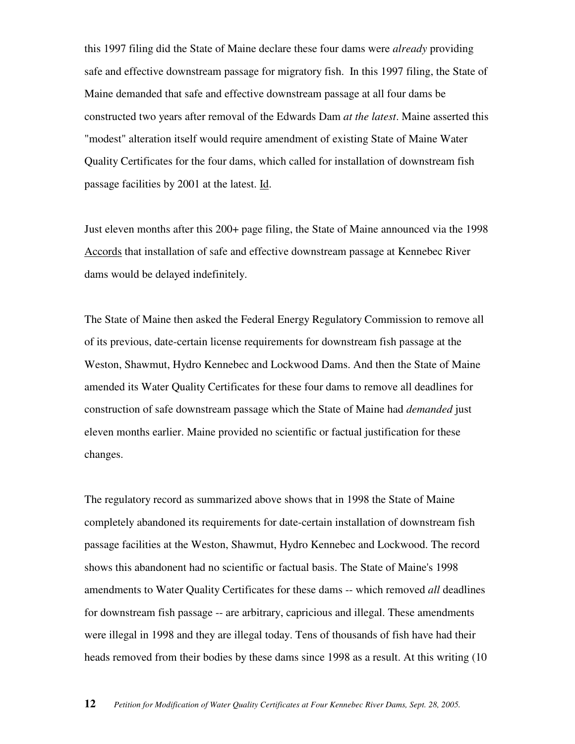this 1997 filing did the State of Maine declare these four dams were *already* providing safe and effective downstream passage for migratory fish. In this 1997 filing, the State of Maine demanded that safe and effective downstream passage at all four dams be constructed two years after removal of the Edwards Dam *at the latest*. Maine asserted this "modest" alteration itself would require amendment of existing State of Maine Water Quality Certificates for the four dams, which called for installation of downstream fish passage facilities by 2001 at the latest. Id.

Just eleven months after this 200+ page filing, the State of Maine announced via the 1998 Accords that installation of safe and effective downstream passage at Kennebec River dams would be delayed indefinitely.

The State of Maine then asked the Federal Energy Regulatory Commission to remove all of its previous, date-certain license requirements for downstream fish passage at the Weston, Shawmut, Hydro Kennebec and Lockwood Dams. And then the State of Maine amended its Water Quality Certificates for these four dams to remove all deadlines for construction of safe downstream passage which the State of Maine had *demanded* just eleven months earlier. Maine provided no scientific or factual justification for these changes.

The regulatory record as summarized above shows that in 1998 the State of Maine completely abandoned its requirements for date-certain installation of downstream fish passage facilities at the Weston, Shawmut, Hydro Kennebec and Lockwood. The record shows this abandonent had no scientific or factual basis. The State of Maine's 1998 amendments to Water Quality Certificates for these dams -- which removed *all* deadlines for downstream fish passage -- are arbitrary, capricious and illegal. These amendments were illegal in 1998 and they are illegal today. Tens of thousands of fish have had their heads removed from their bodies by these dams since 1998 as a result. At this writing (10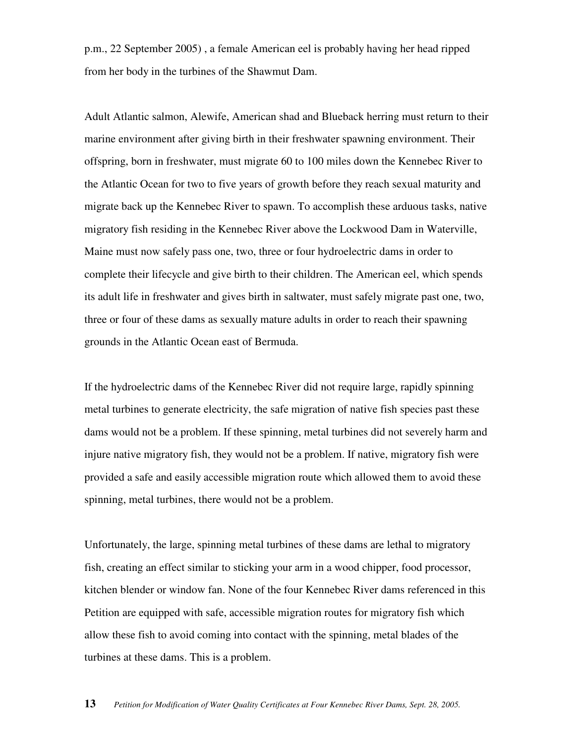p.m., 22 September 2005) , a female American eel is probably having her head ripped from her body in the turbines of the Shawmut Dam.

Adult Atlantic salmon, Alewife, American shad and Blueback herring must return to their marine environment after giving birth in their freshwater spawning environment. Their offspring, born in freshwater, must migrate 60 to 100 miles down the Kennebec River to the Atlantic Ocean for two to five years of growth before they reach sexual maturity and migrate back up the Kennebec River to spawn. To accomplish these arduous tasks, native migratory fish residing in the Kennebec River above the Lockwood Dam in Waterville, Maine must now safely pass one, two, three or four hydroelectric dams in order to complete their lifecycle and give birth to their children. The American eel, which spends its adult life in freshwater and gives birth in saltwater, must safely migrate past one, two, three or four of these dams as sexually mature adults in order to reach their spawning grounds in the Atlantic Ocean east of Bermuda.

If the hydroelectric dams of the Kennebec River did not require large, rapidly spinning metal turbines to generate electricity, the safe migration of native fish species past these dams would not be a problem. If these spinning, metal turbines did not severely harm and injure native migratory fish, they would not be a problem. If native, migratory fish were provided a safe and easily accessible migration route which allowed them to avoid these spinning, metal turbines, there would not be a problem.

Unfortunately, the large, spinning metal turbines of these dams are lethal to migratory fish, creating an effect similar to sticking your arm in a wood chipper, food processor, kitchen blender or window fan. None of the four Kennebec River dams referenced in this Petition are equipped with safe, accessible migration routes for migratory fish which allow these fish to avoid coming into contact with the spinning, metal blades of the turbines at these dams. This is a problem.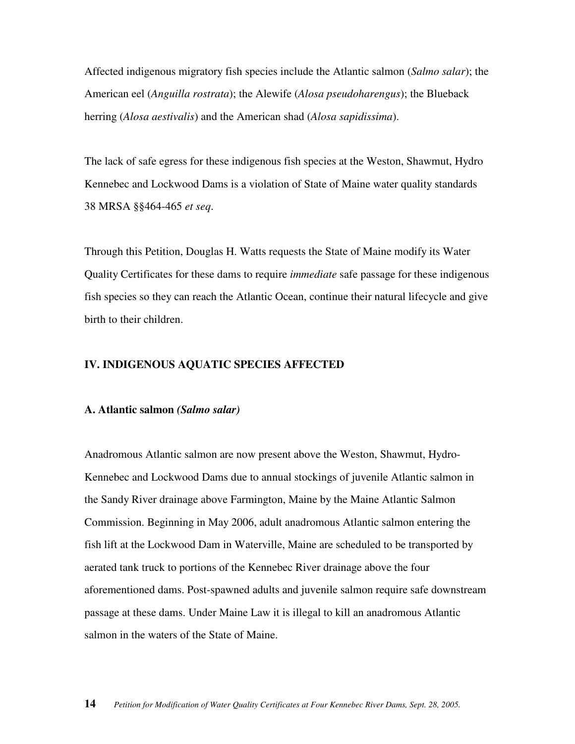Affected indigenous migratory fish species include the Atlantic salmon (*Salmo salar*); the American eel (*Anguilla rostrata*); the Alewife (*Alosa pseudoharengus*); the Blueback herring (*Alosa aestivalis*) and the American shad (*Alosa sapidissima*).

The lack of safe egress for these indigenous fish species at the Weston, Shawmut, Hydro Kennebec and Lockwood Dams is a violation of State of Maine water quality standards 38 MRSA §§464-465 *et seq*.

Through this Petition, Douglas H. Watts requests the State of Maine modify its Water Quality Certificates for these dams to require *immediate* safe passage for these indigenous fish species so they can reach the Atlantic Ocean, continue their natural lifecycle and give birth to their children.

#### **IV. INDIGENOUS AQUATIC SPECIES AFFECTED**

#### **A. Atlantic salmon** *(Salmo salar)*

Anadromous Atlantic salmon are now present above the Weston, Shawmut, Hydro-Kennebec and Lockwood Dams due to annual stockings of juvenile Atlantic salmon in the Sandy River drainage above Farmington, Maine by the Maine Atlantic Salmon Commission. Beginning in May 2006, adult anadromous Atlantic salmon entering the fish lift at the Lockwood Dam in Waterville, Maine are scheduled to be transported by aerated tank truck to portions of the Kennebec River drainage above the four aforementioned dams. Post-spawned adults and juvenile salmon require safe downstream passage at these dams. Under Maine Law it is illegal to kill an anadromous Atlantic salmon in the waters of the State of Maine.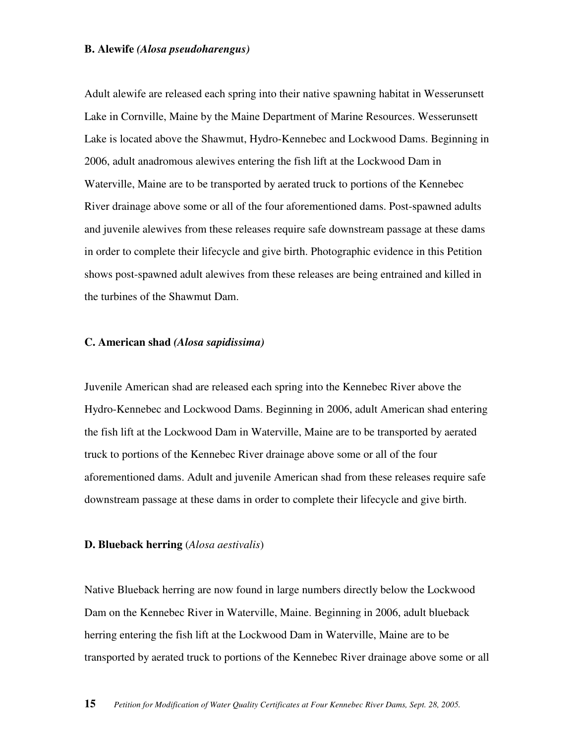#### **B. Alewife** *(Alosa pseudoharengus)*

Adult alewife are released each spring into their native spawning habitat in Wesserunsett Lake in Cornville, Maine by the Maine Department of Marine Resources. Wesserunsett Lake is located above the Shawmut, Hydro-Kennebec and Lockwood Dams. Beginning in 2006, adult anadromous alewives entering the fish lift at the Lockwood Dam in Waterville, Maine are to be transported by aerated truck to portions of the Kennebec River drainage above some or all of the four aforementioned dams. Post-spawned adults and juvenile alewives from these releases require safe downstream passage at these dams in order to complete their lifecycle and give birth. Photographic evidence in this Petition shows post-spawned adult alewives from these releases are being entrained and killed in the turbines of the Shawmut Dam.

#### **C. American shad** *(Alosa sapidissima)*

Juvenile American shad are released each spring into the Kennebec River above the Hydro-Kennebec and Lockwood Dams. Beginning in 2006, adult American shad entering the fish lift at the Lockwood Dam in Waterville, Maine are to be transported by aerated truck to portions of the Kennebec River drainage above some or all of the four aforementioned dams. Adult and juvenile American shad from these releases require safe downstream passage at these dams in order to complete their lifecycle and give birth.

#### **D. Blueback herring** (*Alosa aestivalis*)

Native Blueback herring are now found in large numbers directly below the Lockwood Dam on the Kennebec River in Waterville, Maine. Beginning in 2006, adult blueback herring entering the fish lift at the Lockwood Dam in Waterville, Maine are to be transported by aerated truck to portions of the Kennebec River drainage above some or all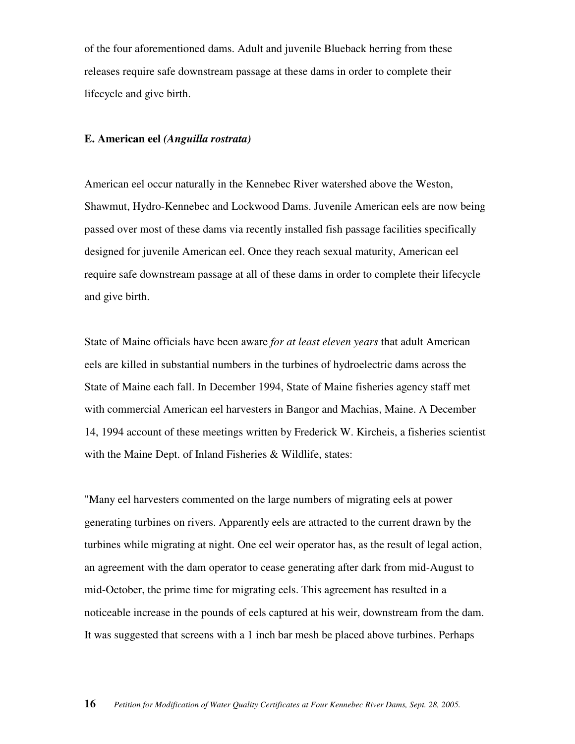of the four aforementioned dams. Adult and juvenile Blueback herring from these releases require safe downstream passage at these dams in order to complete their lifecycle and give birth.

#### **E. American eel** *(Anguilla rostrata)*

American eel occur naturally in the Kennebec River watershed above the Weston, Shawmut, Hydro-Kennebec and Lockwood Dams. Juvenile American eels are now being passed over most of these dams via recently installed fish passage facilities specifically designed for juvenile American eel. Once they reach sexual maturity, American eel require safe downstream passage at all of these dams in order to complete their lifecycle and give birth.

State of Maine officials have been aware *for at least eleven years* that adult American eels are killed in substantial numbers in the turbines of hydroelectric dams across the State of Maine each fall. In December 1994, State of Maine fisheries agency staff met with commercial American eel harvesters in Bangor and Machias, Maine. A December 14, 1994 account of these meetings written by Frederick W. Kircheis, a fisheries scientist with the Maine Dept. of Inland Fisheries & Wildlife, states:

"Many eel harvesters commented on the large numbers of migrating eels at power generating turbines on rivers. Apparently eels are attracted to the current drawn by the turbines while migrating at night. One eel weir operator has, as the result of legal action, an agreement with the dam operator to cease generating after dark from mid-August to mid-October, the prime time for migrating eels. This agreement has resulted in a noticeable increase in the pounds of eels captured at his weir, downstream from the dam. It was suggested that screens with a 1 inch bar mesh be placed above turbines. Perhaps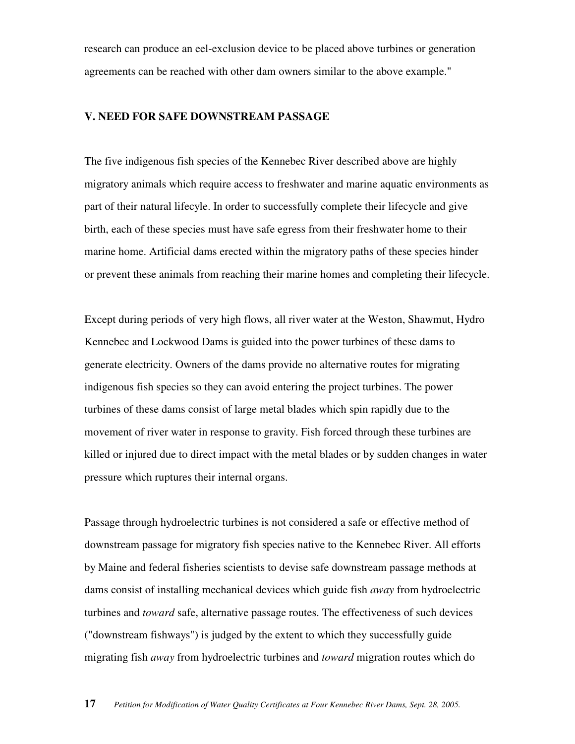research can produce an eel-exclusion device to be placed above turbines or generation agreements can be reached with other dam owners similar to the above example."

#### **V. NEED FOR SAFE DOWNSTREAM PASSAGE**

The five indigenous fish species of the Kennebec River described above are highly migratory animals which require access to freshwater and marine aquatic environments as part of their natural lifecyle. In order to successfully complete their lifecycle and give birth, each of these species must have safe egress from their freshwater home to their marine home. Artificial dams erected within the migratory paths of these species hinder or prevent these animals from reaching their marine homes and completing their lifecycle.

Except during periods of very high flows, all river water at the Weston, Shawmut, Hydro Kennebec and Lockwood Dams is guided into the power turbines of these dams to generate electricity. Owners of the dams provide no alternative routes for migrating indigenous fish species so they can avoid entering the project turbines. The power turbines of these dams consist of large metal blades which spin rapidly due to the movement of river water in response to gravity. Fish forced through these turbines are killed or injured due to direct impact with the metal blades or by sudden changes in water pressure which ruptures their internal organs.

Passage through hydroelectric turbines is not considered a safe or effective method of downstream passage for migratory fish species native to the Kennebec River. All efforts by Maine and federal fisheries scientists to devise safe downstream passage methods at dams consist of installing mechanical devices which guide fish *away* from hydroelectric turbines and *toward* safe, alternative passage routes. The effectiveness of such devices ("downstream fishways") is judged by the extent to which they successfully guide migrating fish *away* from hydroelectric turbines and *toward* migration routes which do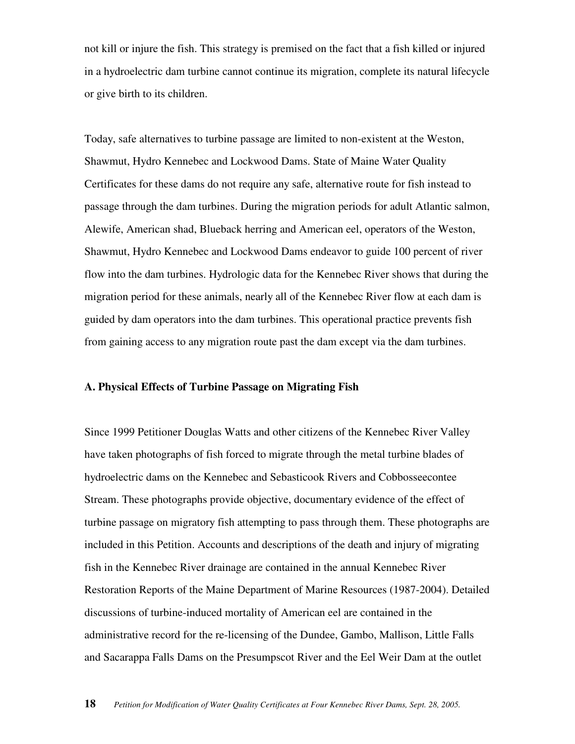not kill or injure the fish. This strategy is premised on the fact that a fish killed or injured in a hydroelectric dam turbine cannot continue its migration, complete its natural lifecycle or give birth to its children.

Today, safe alternatives to turbine passage are limited to non-existent at the Weston, Shawmut, Hydro Kennebec and Lockwood Dams. State of Maine Water Quality Certificates for these dams do not require any safe, alternative route for fish instead to passage through the dam turbines. During the migration periods for adult Atlantic salmon, Alewife, American shad, Blueback herring and American eel, operators of the Weston, Shawmut, Hydro Kennebec and Lockwood Dams endeavor to guide 100 percent of river flow into the dam turbines. Hydrologic data for the Kennebec River shows that during the migration period for these animals, nearly all of the Kennebec River flow at each dam is guided by dam operators into the dam turbines. This operational practice prevents fish from gaining access to any migration route past the dam except via the dam turbines.

#### **A. Physical Effects of Turbine Passage on Migrating Fish**

Since 1999 Petitioner Douglas Watts and other citizens of the Kennebec River Valley have taken photographs of fish forced to migrate through the metal turbine blades of hydroelectric dams on the Kennebec and Sebasticook Rivers and Cobbosseecontee Stream. These photographs provide objective, documentary evidence of the effect of turbine passage on migratory fish attempting to pass through them. These photographs are included in this Petition. Accounts and descriptions of the death and injury of migrating fish in the Kennebec River drainage are contained in the annual Kennebec River Restoration Reports of the Maine Department of Marine Resources (1987-2004). Detailed discussions of turbine-induced mortality of American eel are contained in the administrative record for the re-licensing of the Dundee, Gambo, Mallison, Little Falls and Sacarappa Falls Dams on the Presumpscot River and the Eel Weir Dam at the outlet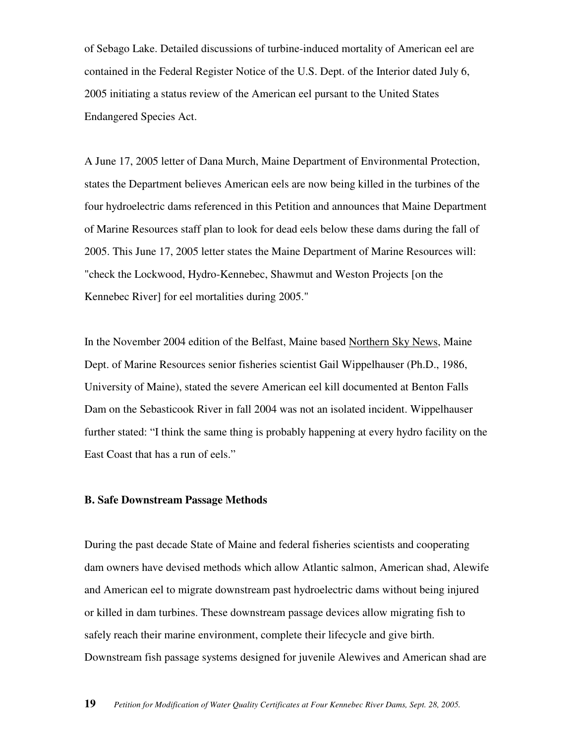of Sebago Lake. Detailed discussions of turbine-induced mortality of American eel are contained in the Federal Register Notice of the U.S. Dept. of the Interior dated July 6, 2005 initiating a status review of the American eel pursant to the United States Endangered Species Act.

A June 17, 2005 letter of Dana Murch, Maine Department of Environmental Protection, states the Department believes American eels are now being killed in the turbines of the four hydroelectric dams referenced in this Petition and announces that Maine Department of Marine Resources staff plan to look for dead eels below these dams during the fall of 2005. This June 17, 2005 letter states the Maine Department of Marine Resources will: "check the Lockwood, Hydro-Kennebec, Shawmut and Weston Projects [on the Kennebec River] for eel mortalities during 2005."

In the November 2004 edition of the Belfast, Maine based Northern Sky News, Maine Dept. of Marine Resources senior fisheries scientist Gail Wippelhauser (Ph.D., 1986, University of Maine), stated the severe American eel kill documented at Benton Falls Dam on the Sebasticook River in fall 2004 was not an isolated incident. Wippelhauser further stated: "I think the same thing is probably happening at every hydro facility on the East Coast that has a run of eels."

#### **B. Safe Downstream Passage Methods**

During the past decade State of Maine and federal fisheries scientists and cooperating dam owners have devised methods which allow Atlantic salmon, American shad, Alewife and American eel to migrate downstream past hydroelectric dams without being injured or killed in dam turbines. These downstream passage devices allow migrating fish to safely reach their marine environment, complete their lifecycle and give birth. Downstream fish passage systems designed for juvenile Alewives and American shad are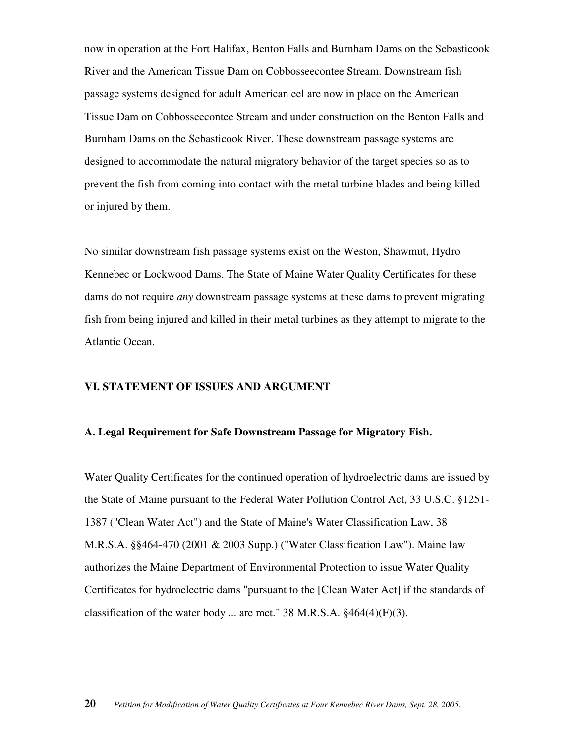now in operation at the Fort Halifax, Benton Falls and Burnham Dams on the Sebasticook River and the American Tissue Dam on Cobbosseecontee Stream. Downstream fish passage systems designed for adult American eel are now in place on the American Tissue Dam on Cobbosseecontee Stream and under construction on the Benton Falls and Burnham Dams on the Sebasticook River. These downstream passage systems are designed to accommodate the natural migratory behavior of the target species so as to prevent the fish from coming into contact with the metal turbine blades and being killed or injured by them.

No similar downstream fish passage systems exist on the Weston, Shawmut, Hydro Kennebec or Lockwood Dams. The State of Maine Water Quality Certificates for these dams do not require *any* downstream passage systems at these dams to prevent migrating fish from being injured and killed in their metal turbines as they attempt to migrate to the Atlantic Ocean.

#### **VI. STATEMENT OF ISSUES AND ARGUMENT**

#### **A. Legal Requirement for Safe Downstream Passage for Migratory Fish.**

Water Quality Certificates for the continued operation of hydroelectric dams are issued by the State of Maine pursuant to the Federal Water Pollution Control Act, 33 U.S.C. §1251- 1387 ("Clean Water Act") and the State of Maine's Water Classification Law, 38 M.R.S.A. §§464-470 (2001 & 2003 Supp.) ("Water Classification Law"). Maine law authorizes the Maine Department of Environmental Protection to issue Water Quality Certificates for hydroelectric dams "pursuant to the [Clean Water Act] if the standards of classification of the water body ... are met."  $38$  M.R.S.A.  $§464(4)(F)(3)$ .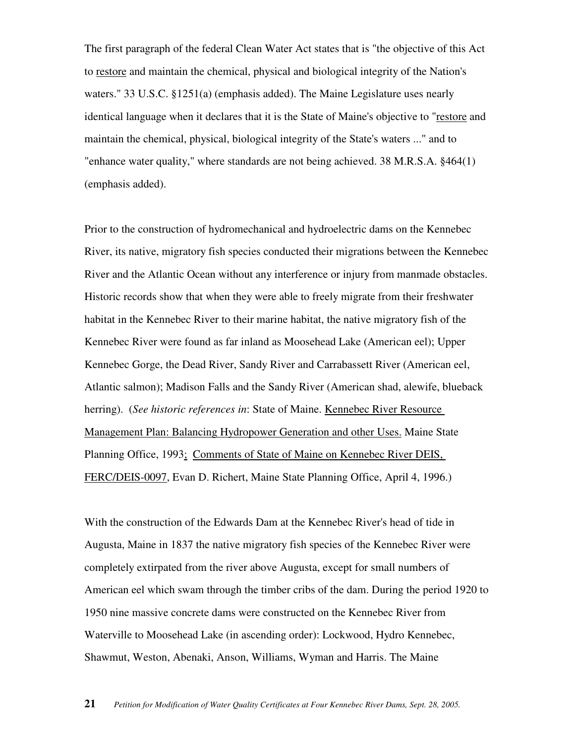The first paragraph of the federal Clean Water Act states that is "the objective of this Act to restore and maintain the chemical, physical and biological integrity of the Nation's waters." 33 U.S.C. §1251(a) (emphasis added). The Maine Legislature uses nearly identical language when it declares that it is the State of Maine's objective to "restore and maintain the chemical, physical, biological integrity of the State's waters ..." and to "enhance water quality," where standards are not being achieved. 38 M.R.S.A. §464(1) (emphasis added).

Prior to the construction of hydromechanical and hydroelectric dams on the Kennebec River, its native, migratory fish species conducted their migrations between the Kennebec River and the Atlantic Ocean without any interference or injury from manmade obstacles. Historic records show that when they were able to freely migrate from their freshwater habitat in the Kennebec River to their marine habitat, the native migratory fish of the Kennebec River were found as far inland as Moosehead Lake (American eel); Upper Kennebec Gorge, the Dead River, Sandy River and Carrabassett River (American eel, Atlantic salmon); Madison Falls and the Sandy River (American shad, alewife, blueback herring). (*See historic references in*: State of Maine. Kennebec River Resource Management Plan: Balancing Hydropower Generation and other Uses. Maine State Planning Office, 1993; Comments of State of Maine on Kennebec River DEIS, FERC/DEIS-0097, Evan D. Richert, Maine State Planning Office, April 4, 1996.)

With the construction of the Edwards Dam at the Kennebec River's head of tide in Augusta, Maine in 1837 the native migratory fish species of the Kennebec River were completely extirpated from the river above Augusta, except for small numbers of American eel which swam through the timber cribs of the dam. During the period 1920 to 1950 nine massive concrete dams were constructed on the Kennebec River from Waterville to Moosehead Lake (in ascending order): Lockwood, Hydro Kennebec, Shawmut, Weston, Abenaki, Anson, Williams, Wyman and Harris. The Maine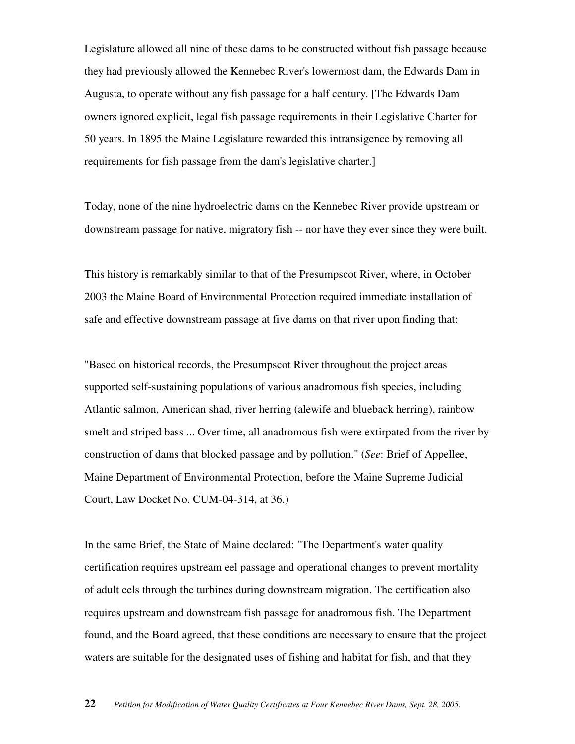Legislature allowed all nine of these dams to be constructed without fish passage because they had previously allowed the Kennebec River's lowermost dam, the Edwards Dam in Augusta, to operate without any fish passage for a half century. [The Edwards Dam owners ignored explicit, legal fish passage requirements in their Legislative Charter for 50 years. In 1895 the Maine Legislature rewarded this intransigence by removing all requirements for fish passage from the dam's legislative charter.]

Today, none of the nine hydroelectric dams on the Kennebec River provide upstream or downstream passage for native, migratory fish -- nor have they ever since they were built.

This history is remarkably similar to that of the Presumpscot River, where, in October 2003 the Maine Board of Environmental Protection required immediate installation of safe and effective downstream passage at five dams on that river upon finding that:

"Based on historical records, the Presumpscot River throughout the project areas supported self-sustaining populations of various anadromous fish species, including Atlantic salmon, American shad, river herring (alewife and blueback herring), rainbow smelt and striped bass ... Over time, all anadromous fish were extirpated from the river by construction of dams that blocked passage and by pollution." (*See*: Brief of Appellee, Maine Department of Environmental Protection, before the Maine Supreme Judicial Court, Law Docket No. CUM-04-314, at 36.)

In the same Brief, the State of Maine declared: "The Department's water quality certification requires upstream eel passage and operational changes to prevent mortality of adult eels through the turbines during downstream migration. The certification also requires upstream and downstream fish passage for anadromous fish. The Department found, and the Board agreed, that these conditions are necessary to ensure that the project waters are suitable for the designated uses of fishing and habitat for fish, and that they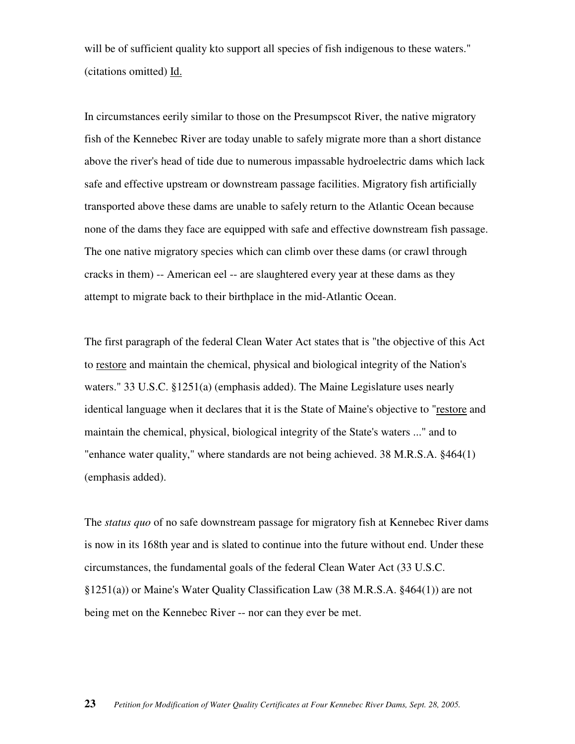will be of sufficient quality kto support all species of fish indigenous to these waters." (citations omitted) Id.

In circumstances eerily similar to those on the Presumpscot River, the native migratory fish of the Kennebec River are today unable to safely migrate more than a short distance above the river's head of tide due to numerous impassable hydroelectric dams which lack safe and effective upstream or downstream passage facilities. Migratory fish artificially transported above these dams are unable to safely return to the Atlantic Ocean because none of the dams they face are equipped with safe and effective downstream fish passage. The one native migratory species which can climb over these dams (or crawl through cracks in them) -- American eel -- are slaughtered every year at these dams as they attempt to migrate back to their birthplace in the mid-Atlantic Ocean.

The first paragraph of the federal Clean Water Act states that is "the objective of this Act to restore and maintain the chemical, physical and biological integrity of the Nation's waters." 33 U.S.C. §1251(a) (emphasis added). The Maine Legislature uses nearly identical language when it declares that it is the State of Maine's objective to "restore and maintain the chemical, physical, biological integrity of the State's waters ..." and to "enhance water quality," where standards are not being achieved. 38 M.R.S.A. §464(1) (emphasis added).

The *status quo* of no safe downstream passage for migratory fish at Kennebec River dams is now in its 168th year and is slated to continue into the future without end. Under these circumstances, the fundamental goals of the federal Clean Water Act (33 U.S.C. §1251(a)) or Maine's Water Quality Classification Law (38 M.R.S.A. §464(1)) are not being met on the Kennebec River -- nor can they ever be met.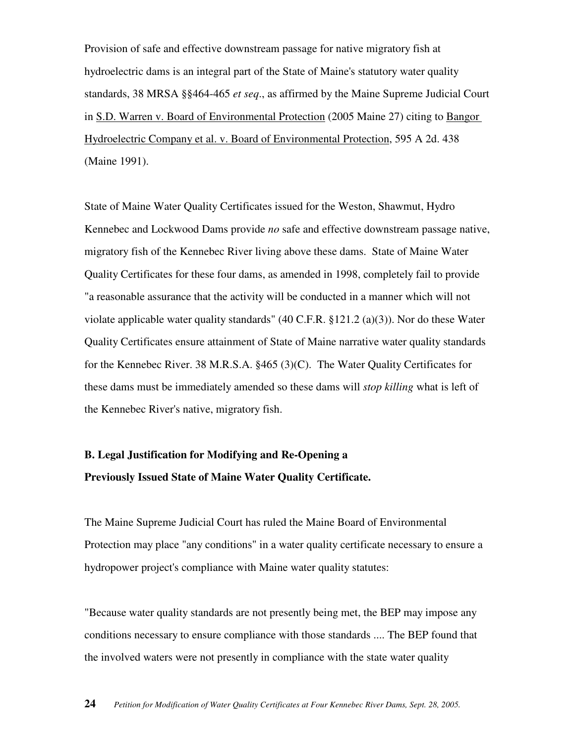Provision of safe and effective downstream passage for native migratory fish at hydroelectric dams is an integral part of the State of Maine's statutory water quality standards, 38 MRSA §§464-465 *et seq*., as affirmed by the Maine Supreme Judicial Court in S.D. Warren v. Board of Environmental Protection (2005 Maine 27) citing to Bangor Hydroelectric Company et al. v. Board of Environmental Protection, 595 A 2d. 438 (Maine 1991).

State of Maine Water Quality Certificates issued for the Weston, Shawmut, Hydro Kennebec and Lockwood Dams provide *no* safe and effective downstream passage native, migratory fish of the Kennebec River living above these dams. State of Maine Water Quality Certificates for these four dams, as amended in 1998, completely fail to provide "a reasonable assurance that the activity will be conducted in a manner which will not violate applicable water quality standards" (40 C.F.R. §121.2 (a)(3)). Nor do these Water Quality Certificates ensure attainment of State of Maine narrative water quality standards for the Kennebec River. 38 M.R.S.A. §465 (3)(C). The Water Quality Certificates for these dams must be immediately amended so these dams will *stop killing* what is left of the Kennebec River's native, migratory fish.

# **B. Legal Justification for Modifying and Re-Opening a Previously Issued State of Maine Water Quality Certificate.**

The Maine Supreme Judicial Court has ruled the Maine Board of Environmental Protection may place "any conditions" in a water quality certificate necessary to ensure a hydropower project's compliance with Maine water quality statutes:

"Because water quality standards are not presently being met, the BEP may impose any conditions necessary to ensure compliance with those standards .... The BEP found that the involved waters were not presently in compliance with the state water quality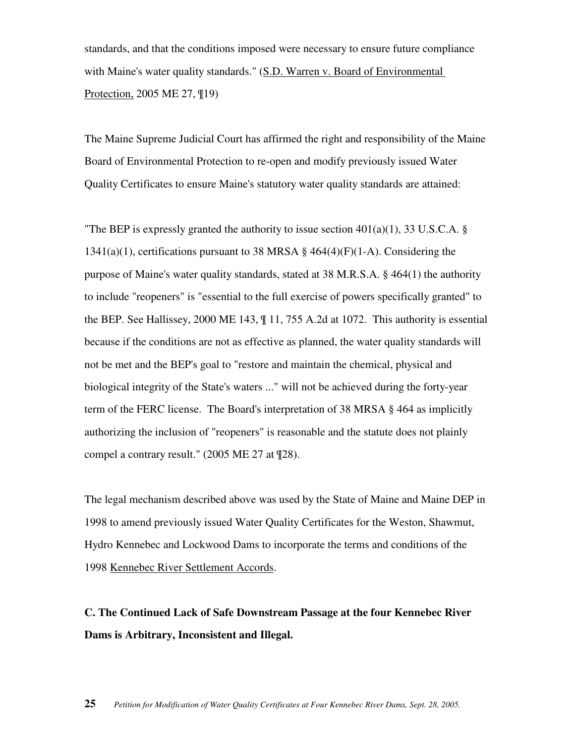standards, and that the conditions imposed were necessary to ensure future compliance with Maine's water quality standards." (S.D. Warren v. Board of Environmental Protection, 2005 ME 27, ¶19)

The Maine Supreme Judicial Court has affirmed the right and responsibility of the Maine Board of Environmental Protection to re-open and modify previously issued Water Quality Certificates to ensure Maine's statutory water quality standards are attained:

"The BEP is expressly granted the authority to issue section  $401(a)(1)$ , 33 U.S.C.A. §  $1341(a)(1)$ , certifications pursuant to 38 MRSA § 464(4)(F)(1-A). Considering the purpose of Maine's water quality standards, stated at 38 M.R.S.A. § 464(1) the authority to include "reopeners" is "essential to the full exercise of powers specifically granted" to the BEP. See Hallissey, 2000 ME 143, ¶ 11, 755 A.2d at 1072. This authority is essential because if the conditions are not as effective as planned, the water quality standards will not be met and the BEP's goal to "restore and maintain the chemical, physical and biological integrity of the State's waters ..." will not be achieved during the forty-year term of the FERC license. The Board's interpretation of 38 MRSA § 464 as implicitly authorizing the inclusion of "reopeners" is reasonable and the statute does not plainly compel a contrary result." (2005 ME 27 at ¶28).

The legal mechanism described above was used by the State of Maine and Maine DEP in 1998 to amend previously issued Water Quality Certificates for the Weston, Shawmut, Hydro Kennebec and Lockwood Dams to incorporate the terms and conditions of the 1998 Kennebec River Settlement Accords.

**C. The Continued Lack of Safe Downstream Passage at the four Kennebec River Dams is Arbitrary, Inconsistent and Illegal.**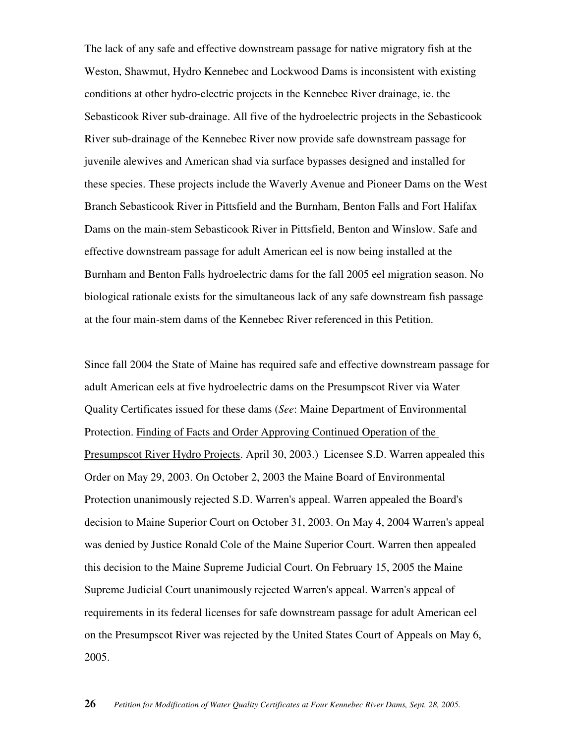The lack of any safe and effective downstream passage for native migratory fish at the Weston, Shawmut, Hydro Kennebec and Lockwood Dams is inconsistent with existing conditions at other hydro-electric projects in the Kennebec River drainage, ie. the Sebasticook River sub-drainage. All five of the hydroelectric projects in the Sebasticook River sub-drainage of the Kennebec River now provide safe downstream passage for juvenile alewives and American shad via surface bypasses designed and installed for these species. These projects include the Waverly Avenue and Pioneer Dams on the West Branch Sebasticook River in Pittsfield and the Burnham, Benton Falls and Fort Halifax Dams on the main-stem Sebasticook River in Pittsfield, Benton and Winslow. Safe and effective downstream passage for adult American eel is now being installed at the Burnham and Benton Falls hydroelectric dams for the fall 2005 eel migration season. No biological rationale exists for the simultaneous lack of any safe downstream fish passage at the four main-stem dams of the Kennebec River referenced in this Petition.

Since fall 2004 the State of Maine has required safe and effective downstream passage for adult American eels at five hydroelectric dams on the Presumpscot River via Water Quality Certificates issued for these dams (*See*: Maine Department of Environmental Protection. Finding of Facts and Order Approving Continued Operation of the Presumpscot River Hydro Projects. April 30, 2003.) Licensee S.D. Warren appealed this Order on May 29, 2003. On October 2, 2003 the Maine Board of Environmental Protection unanimously rejected S.D. Warren's appeal. Warren appealed the Board's decision to Maine Superior Court on October 31, 2003. On May 4, 2004 Warren's appeal was denied by Justice Ronald Cole of the Maine Superior Court. Warren then appealed this decision to the Maine Supreme Judicial Court. On February 15, 2005 the Maine Supreme Judicial Court unanimously rejected Warren's appeal. Warren's appeal of requirements in its federal licenses for safe downstream passage for adult American eel on the Presumpscot River was rejected by the United States Court of Appeals on May 6, 2005.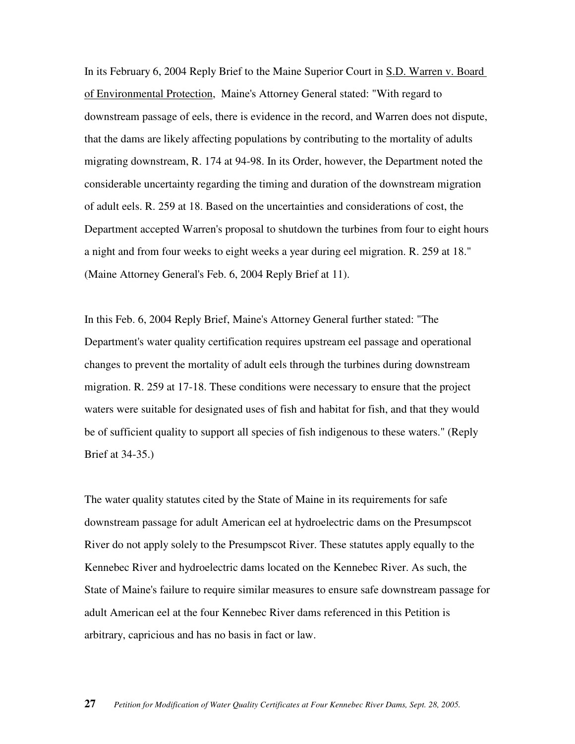In its February 6, 2004 Reply Brief to the Maine Superior Court in S.D. Warren v. Board of Environmental Protection, Maine's Attorney General stated: "With regard to downstream passage of eels, there is evidence in the record, and Warren does not dispute, that the dams are likely affecting populations by contributing to the mortality of adults migrating downstream, R. 174 at 94-98. In its Order, however, the Department noted the considerable uncertainty regarding the timing and duration of the downstream migration of adult eels. R. 259 at 18. Based on the uncertainties and considerations of cost, the Department accepted Warren's proposal to shutdown the turbines from four to eight hours a night and from four weeks to eight weeks a year during eel migration. R. 259 at 18." (Maine Attorney General's Feb. 6, 2004 Reply Brief at 11).

In this Feb. 6, 2004 Reply Brief, Maine's Attorney General further stated: "The Department's water quality certification requires upstream eel passage and operational changes to prevent the mortality of adult eels through the turbines during downstream migration. R. 259 at 17-18. These conditions were necessary to ensure that the project waters were suitable for designated uses of fish and habitat for fish, and that they would be of sufficient quality to support all species of fish indigenous to these waters." (Reply Brief at 34-35.)

The water quality statutes cited by the State of Maine in its requirements for safe downstream passage for adult American eel at hydroelectric dams on the Presumpscot River do not apply solely to the Presumpscot River. These statutes apply equally to the Kennebec River and hydroelectric dams located on the Kennebec River. As such, the State of Maine's failure to require similar measures to ensure safe downstream passage for adult American eel at the four Kennebec River dams referenced in this Petition is arbitrary, capricious and has no basis in fact or law.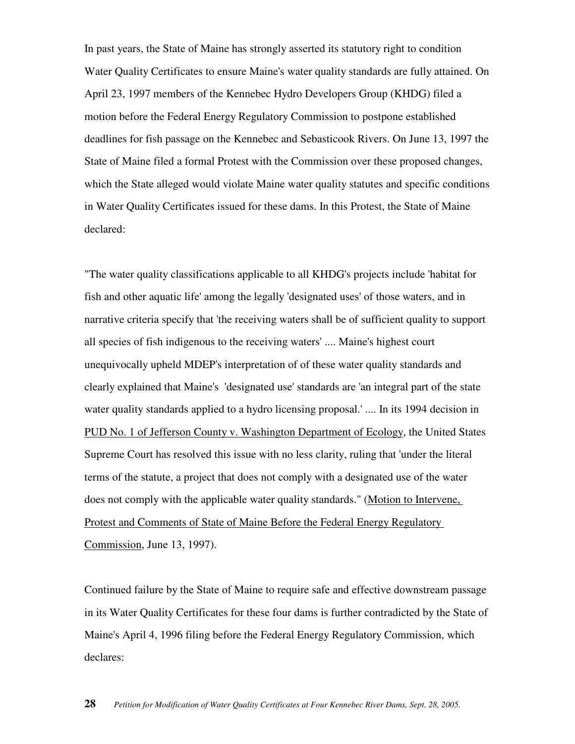In past years, the State of Maine has strongly asserted its statutory right to condition Water Quality Certificates to ensure Maine's water quality standards are fully attained. On April 23, 1997 members of the Kennebec Hydro Developers Group (KHDG) filed a motion before the Federal Energy Regulatory Commission to postpone established deadlines for fish passage on the Kennebec and Sebasticook Rivers. On June 13, 1997 the State of Maine filed a formal Protest with the Commission over these proposed changes, which the State alleged would violate Maine water quality statutes and specific conditions in Water Quality Certificates issued for these dams. In this Protest, the State of Maine declared:

"The water quality classifications applicable to all KHDG's projects include 'habitat for fish and other aquatic life' among the legally 'designated uses' of those waters, and in narrative criteria specify that 'the receiving waters shall be of sufficient quality to support all species of fish indigenous to the receiving waters' .... Maine's highest court unequivocally upheld MDEP's interpretation of of these water quality standards and clearly explained that Maine's 'designated use' standards are 'an integral part of the state water quality standards applied to a hydro licensing proposal.' .... In its 1994 decision in PUD No. 1 of Jefferson County v. Washington Department of Ecology, the United States Supreme Court has resolved this issue with no less clarity, ruling that 'under the literal terms of the statute, a project that does not comply with a designated use of the water does not comply with the applicable water quality standards." (Motion to Intervene, Protest and Comments of State of Maine Before the Federal Energy Regulatory Commission, June 13, 1997).

Continued failure by the State of Maine to require safe and effective downstream passage in its Water Quality Certificates for these four dams is further contradicted by the State of Maine's April 4, 1996 filing before the Federal Energy Regulatory Commission, which declares: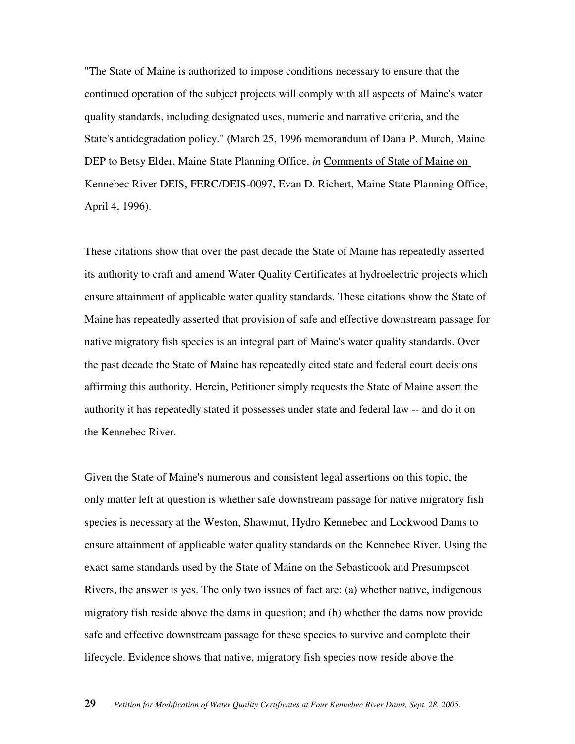"The State of Maine is authorized to impose conditions necessary to ensure that the continued operation of the subject projects will comply with all aspects of Maine's water quality standards, including designated uses, numeric and narrative criteria, and the State's antidegradation policy." (March 25, 1996 memorandum of Dana P. Murch, Maine DEP to Betsy Elder, Maine State Planning Office, *in* Comments of State of Maine on Kennebec River DEIS, FERC/DEIS-0097, Evan D. Richert, Maine State Planning Office, April 4, 1996).

These citations show that over the past decade the State of Maine has repeatedly asserted its authority to craft and amend Water Quality Certificates at hydroelectric projects which ensure attainment of applicable water quality standards. These citations show the State of Maine has repeatedly asserted that provision of safe and effective downstream passage for native migratory fish species is an integral part of Maine's water quality standards. Over the past decade the State of Maine has repeatedly cited state and federal court decisions affirming this authority. Herein, Petitioner simply requests the State of Maine assert the authority it has repeatedly stated it possesses under state and federal law -- and do it on the Kennebec River.

Given the State of Maine's numerous and consistent legal assertions on this topic, the only matter left at question is whether safe downstream passage for native migratory fish species is necessary at the Weston, Shawmut, Hydro Kennebec and Lockwood Dams to ensure attainment of applicable water quality standards on the Kennebec River. Using the exact same standards used by the State of Maine on the Sebasticook and Presumpscot Rivers, the answer is yes. The only two issues of fact are: (a) whether native, indigenous migratory fish reside above the dams in question; and (b) whether the dams now provide safe and effective downstream passage for these species to survive and complete their lifecycle. Evidence shows that native, migratory fish species now reside above the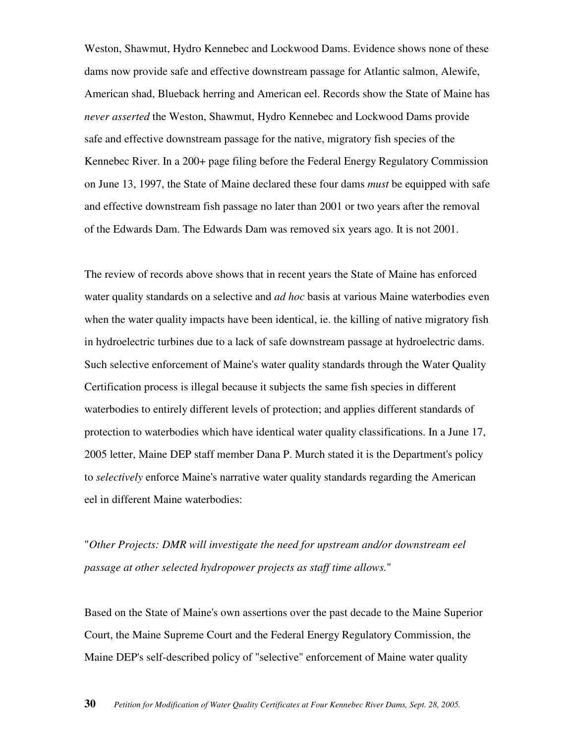Weston, Shawmut, Hydro Kennebec and Lockwood Dams. Evidence shows none of these dams now provide safe and effective downstream passage for Atlantic salmon, Alewife, American shad, Blueback herring and American eel. Records show the State of Maine has *never asserted* the Weston, Shawmut, Hydro Kennebec and Lockwood Dams provide safe and effective downstream passage for the native, migratory fish species of the Kennebec River. In a 200+ page filing before the Federal Energy Regulatory Commission on June 13, 1997, the State of Maine declared these four dams *must* be equipped with safe and effective downstream fish passage no later than 2001 or two years after the removal of the Edwards Dam. The Edwards Dam was removed six years ago. It is not 2001.

The review of records above shows that in recent years the State of Maine has enforced water quality standards on a selective and *ad hoc* basis at various Maine waterbodies even when the water quality impacts have been identical, ie. the killing of native migratory fish in hydroelectric turbines due to a lack of safe downstream passage at hydroelectric dams. Such selective enforcement of Maine's water quality standards through the Water Quality Certification process is illegal because it subjects the same fish species in different waterbodies to entirely different levels of protection; and applies different standards of protection to waterbodies which have identical water quality classifications. In a June 17, 2005 letter, Maine DEP staff member Dana P. Murch stated it is the Department's policy to *selectively* enforce Maine's narrative water quality standards regarding the American eel in different Maine waterbodies:

# "*Other Projects: DMR will investigate the need for upstream and/or downstream eel passage at other selected hydropower projects as staff time allows.*"

Based on the State of Maine's own assertions over the past decade to the Maine Superior Court, the Maine Supreme Court and the Federal Energy Regulatory Commission, the Maine DEP's self-described policy of "selective" enforcement of Maine water quality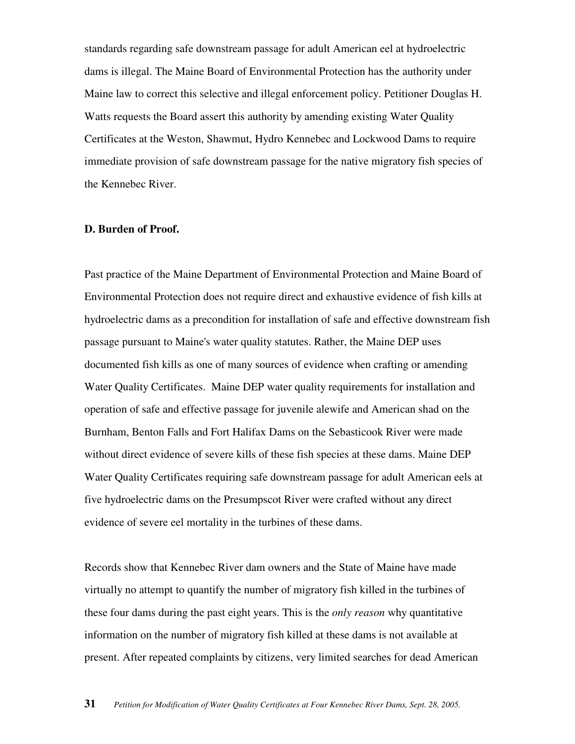standards regarding safe downstream passage for adult American eel at hydroelectric dams is illegal. The Maine Board of Environmental Protection has the authority under Maine law to correct this selective and illegal enforcement policy. Petitioner Douglas H. Watts requests the Board assert this authority by amending existing Water Quality Certificates at the Weston, Shawmut, Hydro Kennebec and Lockwood Dams to require immediate provision of safe downstream passage for the native migratory fish species of the Kennebec River.

#### **D. Burden of Proof.**

Past practice of the Maine Department of Environmental Protection and Maine Board of Environmental Protection does not require direct and exhaustive evidence of fish kills at hydroelectric dams as a precondition for installation of safe and effective downstream fish passage pursuant to Maine's water quality statutes. Rather, the Maine DEP uses documented fish kills as one of many sources of evidence when crafting or amending Water Quality Certificates. Maine DEP water quality requirements for installation and operation of safe and effective passage for juvenile alewife and American shad on the Burnham, Benton Falls and Fort Halifax Dams on the Sebasticook River were made without direct evidence of severe kills of these fish species at these dams. Maine DEP Water Quality Certificates requiring safe downstream passage for adult American eels at five hydroelectric dams on the Presumpscot River were crafted without any direct evidence of severe eel mortality in the turbines of these dams.

Records show that Kennebec River dam owners and the State of Maine have made virtually no attempt to quantify the number of migratory fish killed in the turbines of these four dams during the past eight years. This is the *only reason* why quantitative information on the number of migratory fish killed at these dams is not available at present. After repeated complaints by citizens, very limited searches for dead American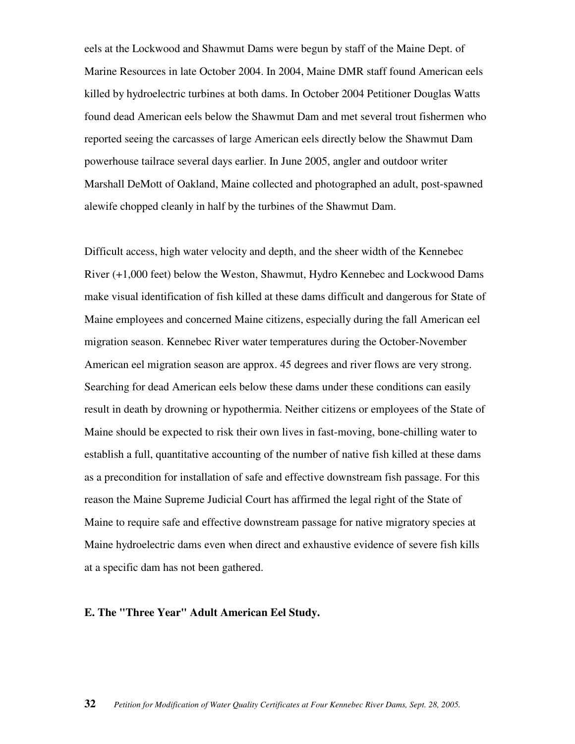eels at the Lockwood and Shawmut Dams were begun by staff of the Maine Dept. of Marine Resources in late October 2004. In 2004, Maine DMR staff found American eels killed by hydroelectric turbines at both dams. In October 2004 Petitioner Douglas Watts found dead American eels below the Shawmut Dam and met several trout fishermen who reported seeing the carcasses of large American eels directly below the Shawmut Dam powerhouse tailrace several days earlier. In June 2005, angler and outdoor writer Marshall DeMott of Oakland, Maine collected and photographed an adult, post-spawned alewife chopped cleanly in half by the turbines of the Shawmut Dam.

Difficult access, high water velocity and depth, and the sheer width of the Kennebec River (+1,000 feet) below the Weston, Shawmut, Hydro Kennebec and Lockwood Dams make visual identification of fish killed at these dams difficult and dangerous for State of Maine employees and concerned Maine citizens, especially during the fall American eel migration season. Kennebec River water temperatures during the October-November American eel migration season are approx. 45 degrees and river flows are very strong. Searching for dead American eels below these dams under these conditions can easily result in death by drowning or hypothermia. Neither citizens or employees of the State of Maine should be expected to risk their own lives in fast-moving, bone-chilling water to establish a full, quantitative accounting of the number of native fish killed at these dams as a precondition for installation of safe and effective downstream fish passage. For this reason the Maine Supreme Judicial Court has affirmed the legal right of the State of Maine to require safe and effective downstream passage for native migratory species at Maine hydroelectric dams even when direct and exhaustive evidence of severe fish kills at a specific dam has not been gathered.

#### **E. The "Three Year" Adult American Eel Study.**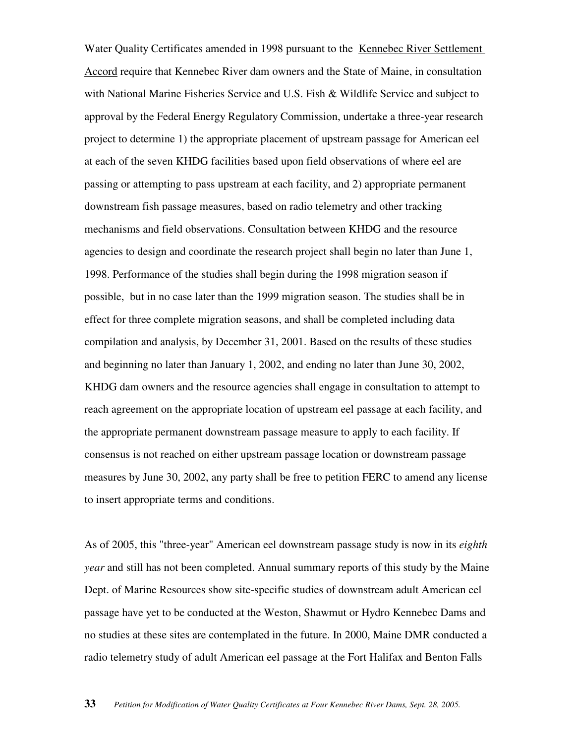Water Quality Certificates amended in 1998 pursuant to the Kennebec River Settlement Accord require that Kennebec River dam owners and the State of Maine, in consultation with National Marine Fisheries Service and U.S. Fish & Wildlife Service and subject to approval by the Federal Energy Regulatory Commission, undertake a three-year research project to determine 1) the appropriate placement of upstream passage for American eel at each of the seven KHDG facilities based upon field observations of where eel are passing or attempting to pass upstream at each facility, and 2) appropriate permanent downstream fish passage measures, based on radio telemetry and other tracking mechanisms and field observations. Consultation between KHDG and the resource agencies to design and coordinate the research project shall begin no later than June 1, 1998. Performance of the studies shall begin during the 1998 migration season if possible, but in no case later than the 1999 migration season. The studies shall be in effect for three complete migration seasons, and shall be completed including data compilation and analysis, by December 31, 2001. Based on the results of these studies and beginning no later than January 1, 2002, and ending no later than June 30, 2002, KHDG dam owners and the resource agencies shall engage in consultation to attempt to reach agreement on the appropriate location of upstream eel passage at each facility, and the appropriate permanent downstream passage measure to apply to each facility. If consensus is not reached on either upstream passage location or downstream passage measures by June 30, 2002, any party shall be free to petition FERC to amend any license to insert appropriate terms and conditions.

As of 2005, this "three-year" American eel downstream passage study is now in its *eighth year* and still has not been completed. Annual summary reports of this study by the Maine Dept. of Marine Resources show site-specific studies of downstream adult American eel passage have yet to be conducted at the Weston, Shawmut or Hydro Kennebec Dams and no studies at these sites are contemplated in the future. In 2000, Maine DMR conducted a radio telemetry study of adult American eel passage at the Fort Halifax and Benton Falls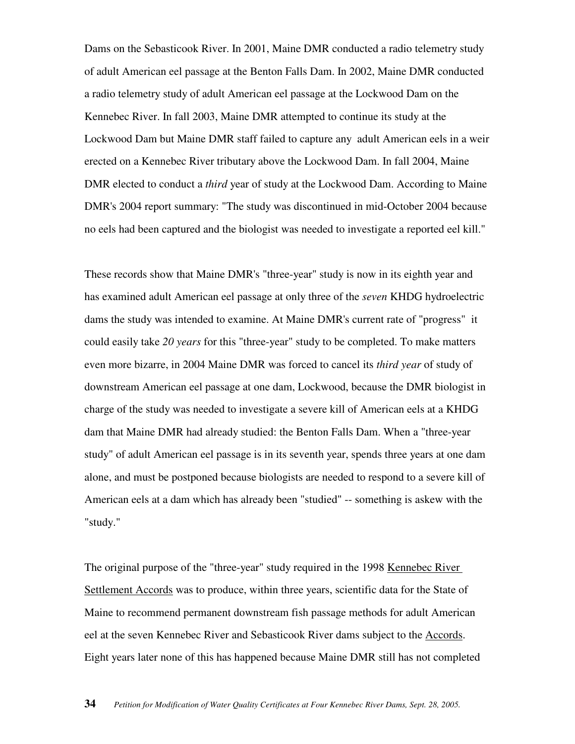Dams on the Sebasticook River. In 2001, Maine DMR conducted a radio telemetry study of adult American eel passage at the Benton Falls Dam. In 2002, Maine DMR conducted a radio telemetry study of adult American eel passage at the Lockwood Dam on the Kennebec River. In fall 2003, Maine DMR attempted to continue its study at the Lockwood Dam but Maine DMR staff failed to capture any adult American eels in a weir erected on a Kennebec River tributary above the Lockwood Dam. In fall 2004, Maine DMR elected to conduct a *third* year of study at the Lockwood Dam. According to Maine DMR's 2004 report summary: "The study was discontinued in mid-October 2004 because no eels had been captured and the biologist was needed to investigate a reported eel kill."

These records show that Maine DMR's "three-year" study is now in its eighth year and has examined adult American eel passage at only three of the *seven* KHDG hydroelectric dams the study was intended to examine. At Maine DMR's current rate of "progress" it could easily take *20 years* for this "three-year" study to be completed. To make matters even more bizarre, in 2004 Maine DMR was forced to cancel its *third year* of study of downstream American eel passage at one dam, Lockwood, because the DMR biologist in charge of the study was needed to investigate a severe kill of American eels at a KHDG dam that Maine DMR had already studied: the Benton Falls Dam. When a "three-year study" of adult American eel passage is in its seventh year, spends three years at one dam alone, and must be postponed because biologists are needed to respond to a severe kill of American eels at a dam which has already been "studied" -- something is askew with the "study."

The original purpose of the "three-year" study required in the 1998 Kennebec River Settlement Accords was to produce, within three years, scientific data for the State of Maine to recommend permanent downstream fish passage methods for adult American eel at the seven Kennebec River and Sebasticook River dams subject to the Accords. Eight years later none of this has happened because Maine DMR still has not completed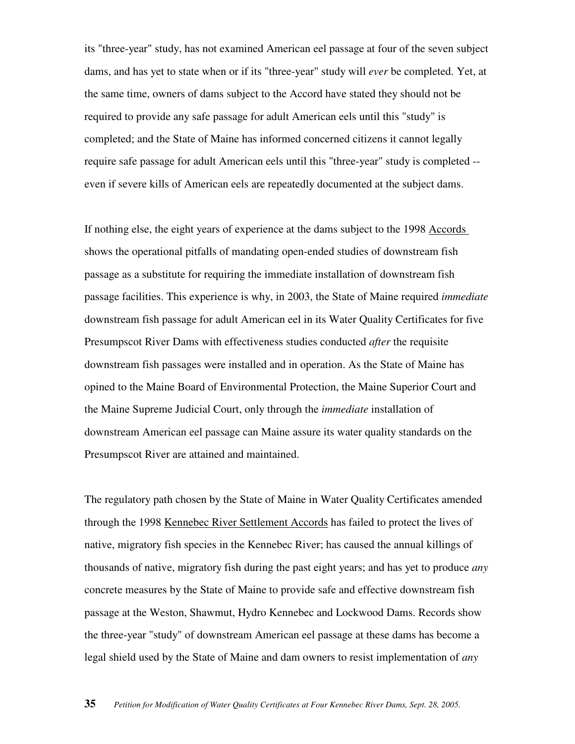its "three-year" study, has not examined American eel passage at four of the seven subject dams, and has yet to state when or if its "three-year" study will *ever* be completed. Yet, at the same time, owners of dams subject to the Accord have stated they should not be required to provide any safe passage for adult American eels until this "study" is completed; and the State of Maine has informed concerned citizens it cannot legally require safe passage for adult American eels until this "three-year" study is completed - even if severe kills of American eels are repeatedly documented at the subject dams.

If nothing else, the eight years of experience at the dams subject to the 1998 Accords shows the operational pitfalls of mandating open-ended studies of downstream fish passage as a substitute for requiring the immediate installation of downstream fish passage facilities. This experience is why, in 2003, the State of Maine required *immediate* downstream fish passage for adult American eel in its Water Quality Certificates for five Presumpscot River Dams with effectiveness studies conducted *after* the requisite downstream fish passages were installed and in operation. As the State of Maine has opined to the Maine Board of Environmental Protection, the Maine Superior Court and the Maine Supreme Judicial Court, only through the *immediate* installation of downstream American eel passage can Maine assure its water quality standards on the Presumpscot River are attained and maintained.

The regulatory path chosen by the State of Maine in Water Quality Certificates amended through the 1998 Kennebec River Settlement Accords has failed to protect the lives of native, migratory fish species in the Kennebec River; has caused the annual killings of thousands of native, migratory fish during the past eight years; and has yet to produce *any* concrete measures by the State of Maine to provide safe and effective downstream fish passage at the Weston, Shawmut, Hydro Kennebec and Lockwood Dams. Records show the three-year "study" of downstream American eel passage at these dams has become a legal shield used by the State of Maine and dam owners to resist implementation of *any*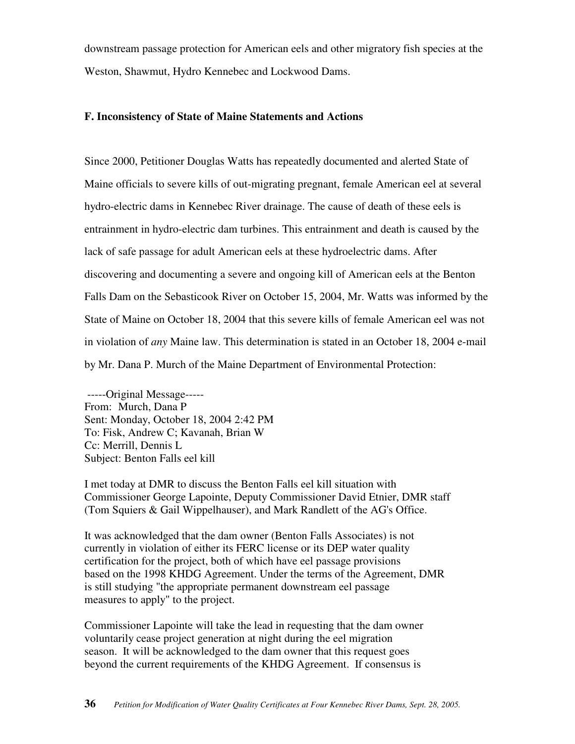downstream passage protection for American eels and other migratory fish species at the Weston, Shawmut, Hydro Kennebec and Lockwood Dams.

# **F. Inconsistency of State of Maine Statements and Actions**

Since 2000, Petitioner Douglas Watts has repeatedly documented and alerted State of Maine officials to severe kills of out-migrating pregnant, female American eel at several hydro-electric dams in Kennebec River drainage. The cause of death of these eels is entrainment in hydro-electric dam turbines. This entrainment and death is caused by the lack of safe passage for adult American eels at these hydroelectric dams. After discovering and documenting a severe and ongoing kill of American eels at the Benton Falls Dam on the Sebasticook River on October 15, 2004, Mr. Watts was informed by the State of Maine on October 18, 2004 that this severe kills of female American eel was not in violation of *any* Maine law. This determination is stated in an October 18, 2004 e-mail by Mr. Dana P. Murch of the Maine Department of Environmental Protection:

 -----Original Message----- From: Murch, Dana P Sent: Monday, October 18, 2004 2:42 PM To: Fisk, Andrew C; Kavanah, Brian W Cc: Merrill, Dennis L Subject: Benton Falls eel kill

I met today at DMR to discuss the Benton Falls eel kill situation with Commissioner George Lapointe, Deputy Commissioner David Etnier, DMR staff (Tom Squiers & Gail Wippelhauser), and Mark Randlett of the AG's Office.

It was acknowledged that the dam owner (Benton Falls Associates) is not currently in violation of either its FERC license or its DEP water quality certification for the project, both of which have eel passage provisions based on the 1998 KHDG Agreement. Under the terms of the Agreement, DMR is still studying "the appropriate permanent downstream eel passage measures to apply" to the project.

Commissioner Lapointe will take the lead in requesting that the dam owner voluntarily cease project generation at night during the eel migration season. It will be acknowledged to the dam owner that this request goes beyond the current requirements of the KHDG Agreement. If consensus is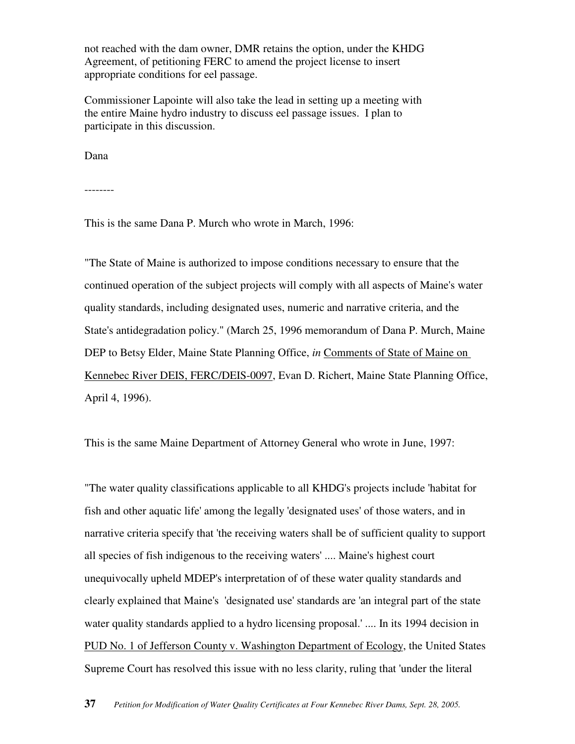not reached with the dam owner, DMR retains the option, under the KHDG Agreement, of petitioning FERC to amend the project license to insert appropriate conditions for eel passage.

Commissioner Lapointe will also take the lead in setting up a meeting with the entire Maine hydro industry to discuss eel passage issues. I plan to participate in this discussion.

Dana

--------

This is the same Dana P. Murch who wrote in March, 1996:

"The State of Maine is authorized to impose conditions necessary to ensure that the continued operation of the subject projects will comply with all aspects of Maine's water quality standards, including designated uses, numeric and narrative criteria, and the State's antidegradation policy." (March 25, 1996 memorandum of Dana P. Murch, Maine DEP to Betsy Elder, Maine State Planning Office, *in* Comments of State of Maine on Kennebec River DEIS, FERC/DEIS-0097, Evan D. Richert, Maine State Planning Office, April 4, 1996).

This is the same Maine Department of Attorney General who wrote in June, 1997:

"The water quality classifications applicable to all KHDG's projects include 'habitat for fish and other aquatic life' among the legally 'designated uses' of those waters, and in narrative criteria specify that 'the receiving waters shall be of sufficient quality to support all species of fish indigenous to the receiving waters' .... Maine's highest court unequivocally upheld MDEP's interpretation of of these water quality standards and clearly explained that Maine's 'designated use' standards are 'an integral part of the state water quality standards applied to a hydro licensing proposal.' .... In its 1994 decision in PUD No. 1 of Jefferson County v. Washington Department of Ecology, the United States Supreme Court has resolved this issue with no less clarity, ruling that 'under the literal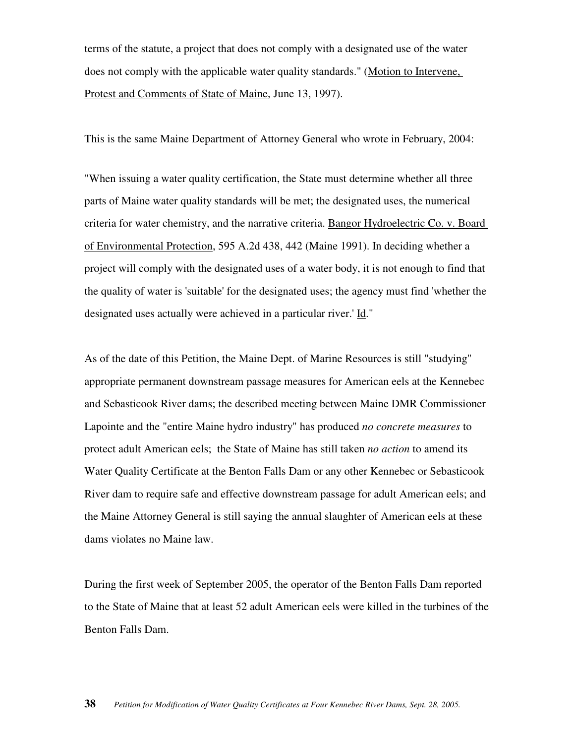terms of the statute, a project that does not comply with a designated use of the water does not comply with the applicable water quality standards." (Motion to Intervene, Protest and Comments of State of Maine, June 13, 1997).

This is the same Maine Department of Attorney General who wrote in February, 2004:

"When issuing a water quality certification, the State must determine whether all three parts of Maine water quality standards will be met; the designated uses, the numerical criteria for water chemistry, and the narrative criteria. Bangor Hydroelectric Co. v. Board of Environmental Protection, 595 A.2d 438, 442 (Maine 1991). In deciding whether a project will comply with the designated uses of a water body, it is not enough to find that the quality of water is 'suitable' for the designated uses; the agency must find 'whether the designated uses actually were achieved in a particular river.' Id."

As of the date of this Petition, the Maine Dept. of Marine Resources is still "studying" appropriate permanent downstream passage measures for American eels at the Kennebec and Sebasticook River dams; the described meeting between Maine DMR Commissioner Lapointe and the "entire Maine hydro industry" has produced *no concrete measures* to protect adult American eels; the State of Maine has still taken *no action* to amend its Water Quality Certificate at the Benton Falls Dam or any other Kennebec or Sebasticook River dam to require safe and effective downstream passage for adult American eels; and the Maine Attorney General is still saying the annual slaughter of American eels at these dams violates no Maine law.

During the first week of September 2005, the operator of the Benton Falls Dam reported to the State of Maine that at least 52 adult American eels were killed in the turbines of the Benton Falls Dam.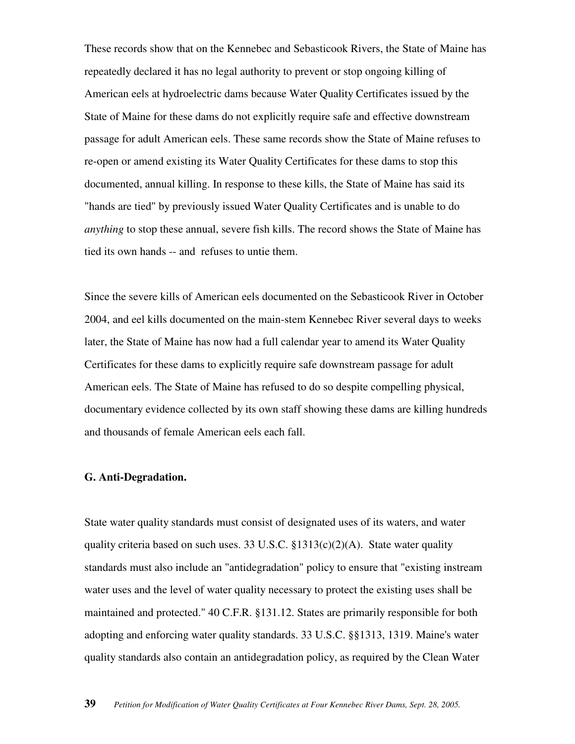These records show that on the Kennebec and Sebasticook Rivers, the State of Maine has repeatedly declared it has no legal authority to prevent or stop ongoing killing of American eels at hydroelectric dams because Water Quality Certificates issued by the State of Maine for these dams do not explicitly require safe and effective downstream passage for adult American eels. These same records show the State of Maine refuses to re-open or amend existing its Water Quality Certificates for these dams to stop this documented, annual killing. In response to these kills, the State of Maine has said its "hands are tied" by previously issued Water Quality Certificates and is unable to do *anything* to stop these annual, severe fish kills. The record shows the State of Maine has tied its own hands -- and refuses to untie them.

Since the severe kills of American eels documented on the Sebasticook River in October 2004, and eel kills documented on the main-stem Kennebec River several days to weeks later, the State of Maine has now had a full calendar year to amend its Water Quality Certificates for these dams to explicitly require safe downstream passage for adult American eels. The State of Maine has refused to do so despite compelling physical, documentary evidence collected by its own staff showing these dams are killing hundreds and thousands of female American eels each fall.

# **G. Anti-Degradation.**

State water quality standards must consist of designated uses of its waters, and water quality criteria based on such uses. 33 U.S.C.  $\S 1313(c)(2)(A)$ . State water quality standards must also include an "antidegradation" policy to ensure that "existing instream water uses and the level of water quality necessary to protect the existing uses shall be maintained and protected." 40 C.F.R. §131.12. States are primarily responsible for both adopting and enforcing water quality standards. 33 U.S.C. §§1313, 1319. Maine's water quality standards also contain an antidegradation policy, as required by the Clean Water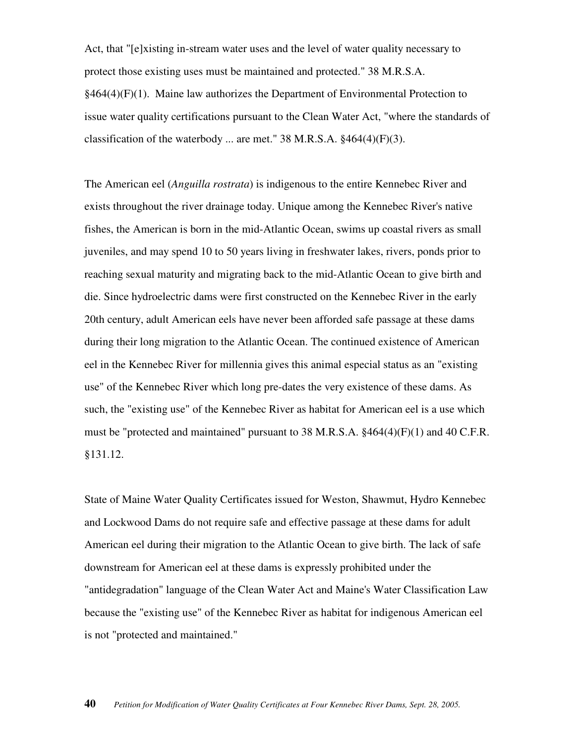Act, that "[e]xisting in-stream water uses and the level of water quality necessary to protect those existing uses must be maintained and protected." 38 M.R.S.A.  $§464(4)(F)(1)$ . Maine law authorizes the Department of Environmental Protection to issue water quality certifications pursuant to the Clean Water Act, "where the standards of classification of the waterbody ... are met."  $38$  M.R.S.A.  $§464(4)(F)(3)$ .

The American eel (*Anguilla rostrata*) is indigenous to the entire Kennebec River and exists throughout the river drainage today. Unique among the Kennebec River's native fishes, the American is born in the mid-Atlantic Ocean, swims up coastal rivers as small juveniles, and may spend 10 to 50 years living in freshwater lakes, rivers, ponds prior to reaching sexual maturity and migrating back to the mid-Atlantic Ocean to give birth and die. Since hydroelectric dams were first constructed on the Kennebec River in the early 20th century, adult American eels have never been afforded safe passage at these dams during their long migration to the Atlantic Ocean. The continued existence of American eel in the Kennebec River for millennia gives this animal especial status as an "existing use" of the Kennebec River which long pre-dates the very existence of these dams. As such, the "existing use" of the Kennebec River as habitat for American eel is a use which must be "protected and maintained" pursuant to 38 M.R.S.A. §464(4)(F)(1) and 40 C.F.R. §131.12.

State of Maine Water Quality Certificates issued for Weston, Shawmut, Hydro Kennebec and Lockwood Dams do not require safe and effective passage at these dams for adult American eel during their migration to the Atlantic Ocean to give birth. The lack of safe downstream for American eel at these dams is expressly prohibited under the "antidegradation" language of the Clean Water Act and Maine's Water Classification Law because the "existing use" of the Kennebec River as habitat for indigenous American eel is not "protected and maintained."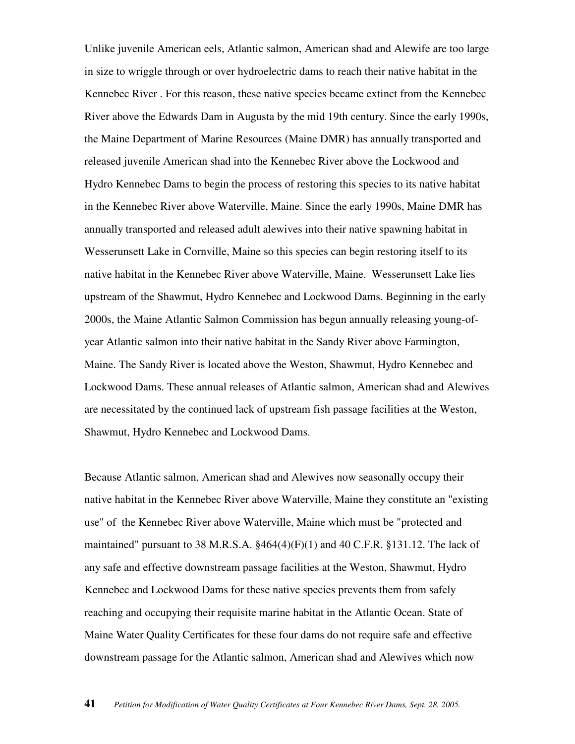Unlike juvenile American eels, Atlantic salmon, American shad and Alewife are too large in size to wriggle through or over hydroelectric dams to reach their native habitat in the Kennebec River . For this reason, these native species became extinct from the Kennebec River above the Edwards Dam in Augusta by the mid 19th century. Since the early 1990s, the Maine Department of Marine Resources (Maine DMR) has annually transported and released juvenile American shad into the Kennebec River above the Lockwood and Hydro Kennebec Dams to begin the process of restoring this species to its native habitat in the Kennebec River above Waterville, Maine. Since the early 1990s, Maine DMR has annually transported and released adult alewives into their native spawning habitat in Wesserunsett Lake in Cornville, Maine so this species can begin restoring itself to its native habitat in the Kennebec River above Waterville, Maine. Wesserunsett Lake lies upstream of the Shawmut, Hydro Kennebec and Lockwood Dams. Beginning in the early 2000s, the Maine Atlantic Salmon Commission has begun annually releasing young-ofyear Atlantic salmon into their native habitat in the Sandy River above Farmington, Maine. The Sandy River is located above the Weston, Shawmut, Hydro Kennebec and Lockwood Dams. These annual releases of Atlantic salmon, American shad and Alewives are necessitated by the continued lack of upstream fish passage facilities at the Weston, Shawmut, Hydro Kennebec and Lockwood Dams.

Because Atlantic salmon, American shad and Alewives now seasonally occupy their native habitat in the Kennebec River above Waterville, Maine they constitute an "existing use" of the Kennebec River above Waterville, Maine which must be "protected and maintained" pursuant to 38 M.R.S.A. §464(4)(F)(1) and 40 C.F.R. §131.12. The lack of any safe and effective downstream passage facilities at the Weston, Shawmut, Hydro Kennebec and Lockwood Dams for these native species prevents them from safely reaching and occupying their requisite marine habitat in the Atlantic Ocean. State of Maine Water Quality Certificates for these four dams do not require safe and effective downstream passage for the Atlantic salmon, American shad and Alewives which now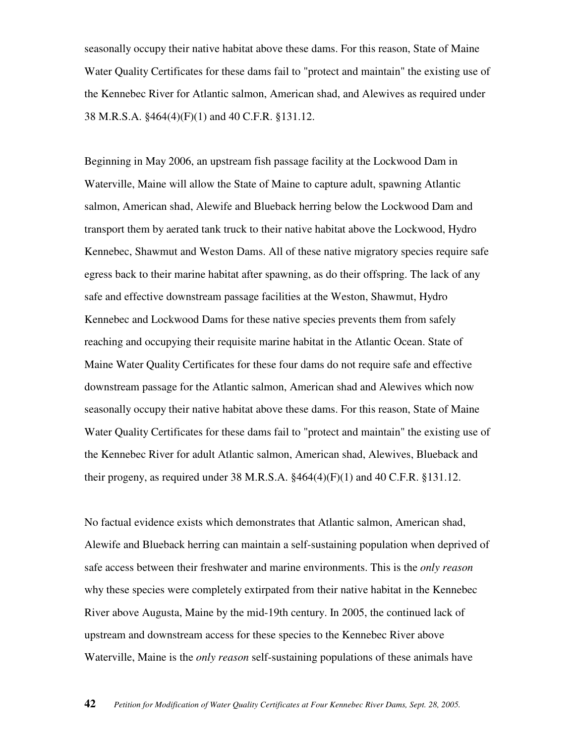seasonally occupy their native habitat above these dams. For this reason, State of Maine Water Quality Certificates for these dams fail to "protect and maintain" the existing use of the Kennebec River for Atlantic salmon, American shad, and Alewives as required under 38 M.R.S.A. §464(4)(F)(1) and 40 C.F.R. §131.12.

Beginning in May 2006, an upstream fish passage facility at the Lockwood Dam in Waterville, Maine will allow the State of Maine to capture adult, spawning Atlantic salmon, American shad, Alewife and Blueback herring below the Lockwood Dam and transport them by aerated tank truck to their native habitat above the Lockwood, Hydro Kennebec, Shawmut and Weston Dams. All of these native migratory species require safe egress back to their marine habitat after spawning, as do their offspring. The lack of any safe and effective downstream passage facilities at the Weston, Shawmut, Hydro Kennebec and Lockwood Dams for these native species prevents them from safely reaching and occupying their requisite marine habitat in the Atlantic Ocean. State of Maine Water Quality Certificates for these four dams do not require safe and effective downstream passage for the Atlantic salmon, American shad and Alewives which now seasonally occupy their native habitat above these dams. For this reason, State of Maine Water Quality Certificates for these dams fail to "protect and maintain" the existing use of the Kennebec River for adult Atlantic salmon, American shad, Alewives, Blueback and their progeny, as required under 38 M.R.S.A.  $§464(4)(F)(1)$  and 40 C.F.R.  $§131.12$ .

No factual evidence exists which demonstrates that Atlantic salmon, American shad, Alewife and Blueback herring can maintain a self-sustaining population when deprived of safe access between their freshwater and marine environments. This is the *only reason* why these species were completely extirpated from their native habitat in the Kennebec River above Augusta, Maine by the mid-19th century. In 2005, the continued lack of upstream and downstream access for these species to the Kennebec River above Waterville, Maine is the *only reason* self-sustaining populations of these animals have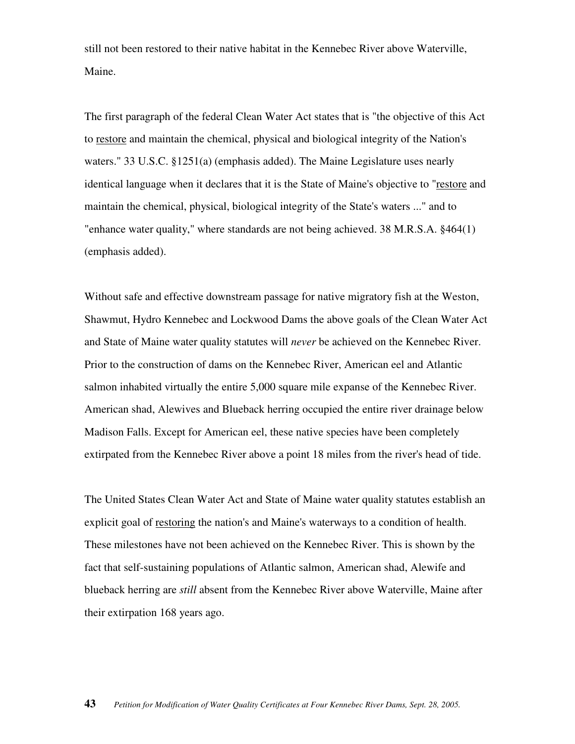still not been restored to their native habitat in the Kennebec River above Waterville, Maine.

The first paragraph of the federal Clean Water Act states that is "the objective of this Act to restore and maintain the chemical, physical and biological integrity of the Nation's waters." 33 U.S.C. §1251(a) (emphasis added). The Maine Legislature uses nearly identical language when it declares that it is the State of Maine's objective to "restore and maintain the chemical, physical, biological integrity of the State's waters ..." and to "enhance water quality," where standards are not being achieved. 38 M.R.S.A. §464(1) (emphasis added).

Without safe and effective downstream passage for native migratory fish at the Weston, Shawmut, Hydro Kennebec and Lockwood Dams the above goals of the Clean Water Act and State of Maine water quality statutes will *never* be achieved on the Kennebec River. Prior to the construction of dams on the Kennebec River, American eel and Atlantic salmon inhabited virtually the entire 5,000 square mile expanse of the Kennebec River. American shad, Alewives and Blueback herring occupied the entire river drainage below Madison Falls. Except for American eel, these native species have been completely extirpated from the Kennebec River above a point 18 miles from the river's head of tide.

The United States Clean Water Act and State of Maine water quality statutes establish an explicit goal of restoring the nation's and Maine's waterways to a condition of health. These milestones have not been achieved on the Kennebec River. This is shown by the fact that self-sustaining populations of Atlantic salmon, American shad, Alewife and blueback herring are *still* absent from the Kennebec River above Waterville, Maine after their extirpation 168 years ago.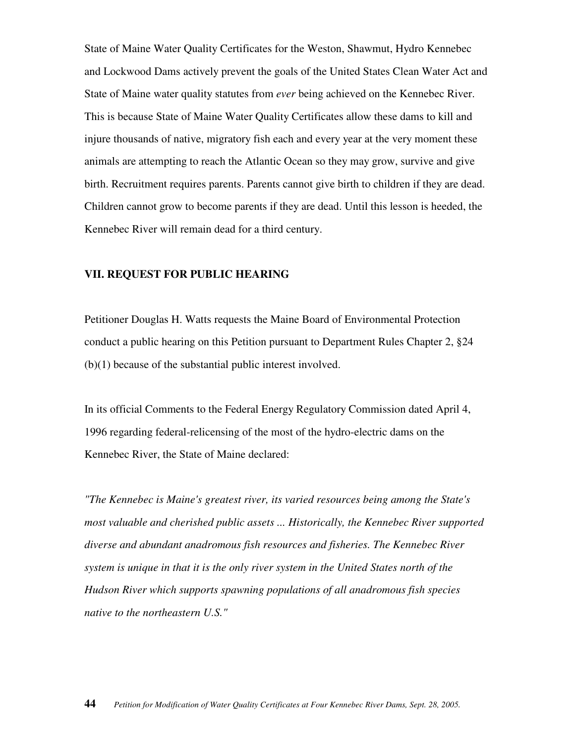State of Maine Water Quality Certificates for the Weston, Shawmut, Hydro Kennebec and Lockwood Dams actively prevent the goals of the United States Clean Water Act and State of Maine water quality statutes from *ever* being achieved on the Kennebec River. This is because State of Maine Water Quality Certificates allow these dams to kill and injure thousands of native, migratory fish each and every year at the very moment these animals are attempting to reach the Atlantic Ocean so they may grow, survive and give birth. Recruitment requires parents. Parents cannot give birth to children if they are dead. Children cannot grow to become parents if they are dead. Until this lesson is heeded, the Kennebec River will remain dead for a third century.

#### **VII. REQUEST FOR PUBLIC HEARING**

Petitioner Douglas H. Watts requests the Maine Board of Environmental Protection conduct a public hearing on this Petition pursuant to Department Rules Chapter 2, §24 (b)(1) because of the substantial public interest involved.

In its official Comments to the Federal Energy Regulatory Commission dated April 4, 1996 regarding federal-relicensing of the most of the hydro-electric dams on the Kennebec River, the State of Maine declared:

*"The Kennebec is Maine's greatest river, its varied resources being among the State's most valuable and cherished public assets ... Historically, the Kennebec River supported diverse and abundant anadromous fish resources and fisheries. The Kennebec River system is unique in that it is the only river system in the United States north of the Hudson River which supports spawning populations of all anadromous fish species native to the northeastern U.S."*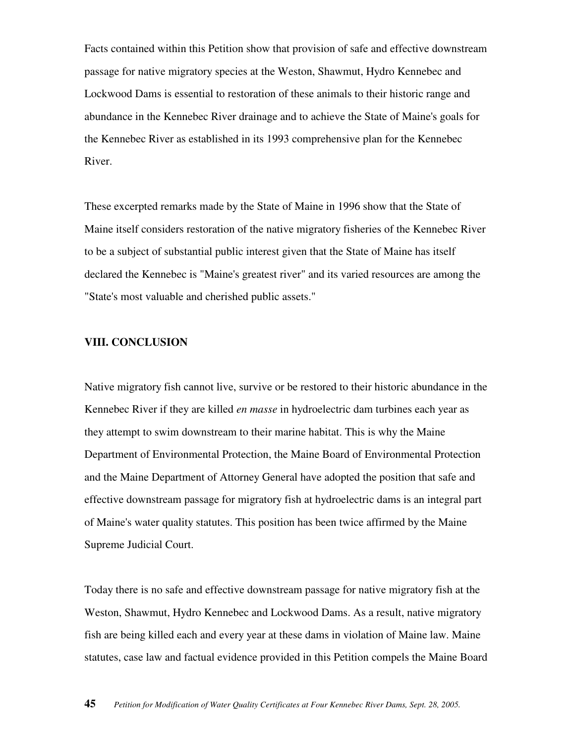Facts contained within this Petition show that provision of safe and effective downstream passage for native migratory species at the Weston, Shawmut, Hydro Kennebec and Lockwood Dams is essential to restoration of these animals to their historic range and abundance in the Kennebec River drainage and to achieve the State of Maine's goals for the Kennebec River as established in its 1993 comprehensive plan for the Kennebec River.

These excerpted remarks made by the State of Maine in 1996 show that the State of Maine itself considers restoration of the native migratory fisheries of the Kennebec River to be a subject of substantial public interest given that the State of Maine has itself declared the Kennebec is "Maine's greatest river" and its varied resources are among the "State's most valuable and cherished public assets."

# **VIII. CONCLUSION**

Native migratory fish cannot live, survive or be restored to their historic abundance in the Kennebec River if they are killed *en masse* in hydroelectric dam turbines each year as they attempt to swim downstream to their marine habitat. This is why the Maine Department of Environmental Protection, the Maine Board of Environmental Protection and the Maine Department of Attorney General have adopted the position that safe and effective downstream passage for migratory fish at hydroelectric dams is an integral part of Maine's water quality statutes. This position has been twice affirmed by the Maine Supreme Judicial Court.

Today there is no safe and effective downstream passage for native migratory fish at the Weston, Shawmut, Hydro Kennebec and Lockwood Dams. As a result, native migratory fish are being killed each and every year at these dams in violation of Maine law. Maine statutes, case law and factual evidence provided in this Petition compels the Maine Board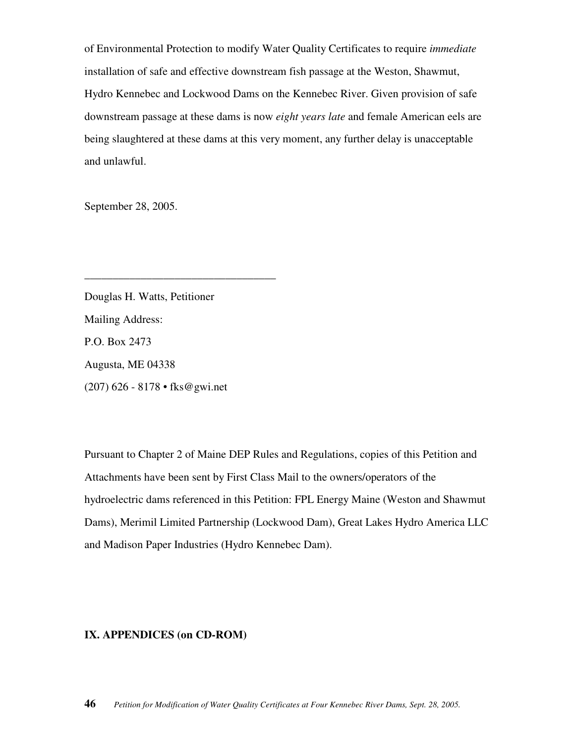of Environmental Protection to modify Water Quality Certificates to require *immediate*  installation of safe and effective downstream fish passage at the Weston, Shawmut, Hydro Kennebec and Lockwood Dams on the Kennebec River. Given provision of safe downstream passage at these dams is now *eight years late* and female American eels are being slaughtered at these dams at this very moment, any further delay is unacceptable and unlawful.

September 28, 2005.

Douglas H. Watts, Petitioner Mailing Address: P.O. Box 2473 Augusta, ME 04338 (207) 626 - 8178 • fks@gwi.net

\_\_\_\_\_\_\_\_\_\_\_\_\_\_\_\_\_\_\_\_\_\_\_\_\_\_\_\_\_\_\_\_\_\_

Pursuant to Chapter 2 of Maine DEP Rules and Regulations, copies of this Petition and Attachments have been sent by First Class Mail to the owners/operators of the hydroelectric dams referenced in this Petition: FPL Energy Maine (Weston and Shawmut Dams), Merimil Limited Partnership (Lockwood Dam), Great Lakes Hydro America LLC and Madison Paper Industries (Hydro Kennebec Dam).

### **IX. APPENDICES (on CD-ROM)**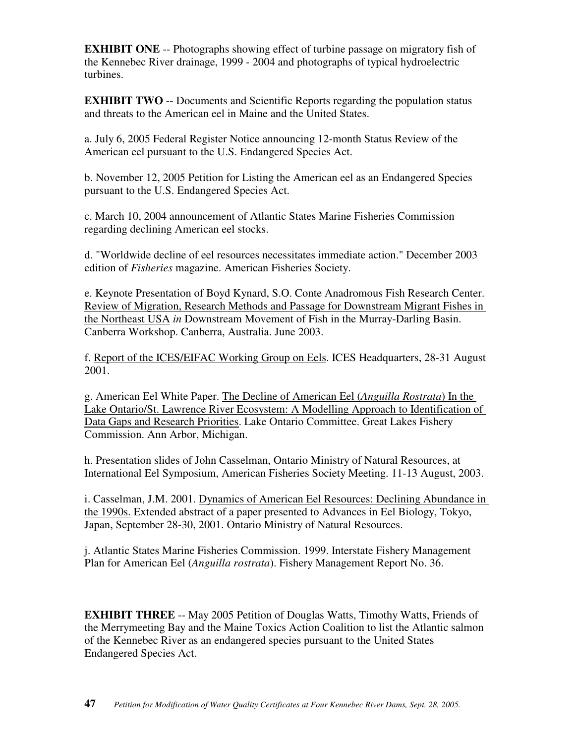**EXHIBIT ONE** -- Photographs showing effect of turbine passage on migratory fish of the Kennebec River drainage, 1999 - 2004 and photographs of typical hydroelectric turbines.

**EXHIBIT TWO** -- Documents and Scientific Reports regarding the population status and threats to the American eel in Maine and the United States.

a. July 6, 2005 Federal Register Notice announcing 12-month Status Review of the American eel pursuant to the U.S. Endangered Species Act.

b. November 12, 2005 Petition for Listing the American eel as an Endangered Species pursuant to the U.S. Endangered Species Act.

c. March 10, 2004 announcement of Atlantic States Marine Fisheries Commission regarding declining American eel stocks.

d. "Worldwide decline of eel resources necessitates immediate action." December 2003 edition of *Fisheries* magazine. American Fisheries Society.

e. Keynote Presentation of Boyd Kynard, S.O. Conte Anadromous Fish Research Center. Review of Migration, Research Methods and Passage for Downstream Migrant Fishes in the Northeast USA *in* Downstream Movement of Fish in the Murray-Darling Basin. Canberra Workshop. Canberra, Australia. June 2003.

f. Report of the ICES/EIFAC Working Group on Eels. ICES Headquarters, 28-31 August 2001.

g. American Eel White Paper. The Decline of American Eel (*Anguilla Rostrata*) In the Lake Ontario/St. Lawrence River Ecosystem: A Modelling Approach to Identification of Data Gaps and Research Priorities. Lake Ontario Committee. Great Lakes Fishery Commission. Ann Arbor, Michigan.

h. Presentation slides of John Casselman, Ontario Ministry of Natural Resources, at International Eel Symposium, American Fisheries Society Meeting. 11-13 August, 2003.

i. Casselman, J.M. 2001. Dynamics of American Eel Resources: Declining Abundance in the 1990s. Extended abstract of a paper presented to Advances in Eel Biology, Tokyo, Japan, September 28-30, 2001. Ontario Ministry of Natural Resources.

j. Atlantic States Marine Fisheries Commission. 1999. Interstate Fishery Management Plan for American Eel (*Anguilla rostrata*). Fishery Management Report No. 36.

**EXHIBIT THREE** -- May 2005 Petition of Douglas Watts, Timothy Watts, Friends of the Merrymeeting Bay and the Maine Toxics Action Coalition to list the Atlantic salmon of the Kennebec River as an endangered species pursuant to the United States Endangered Species Act.